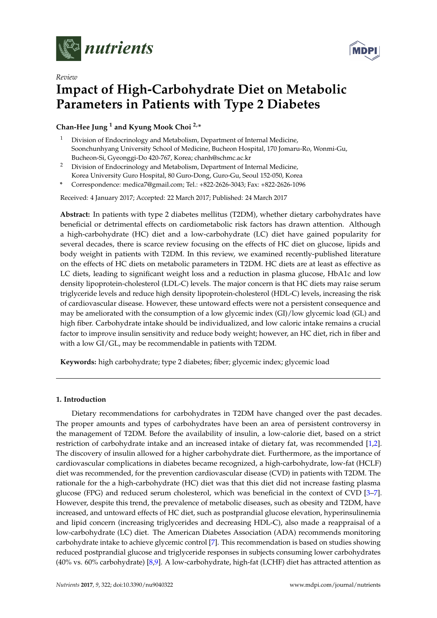



# *Review* **Impact of High-Carbohydrate Diet on Metabolic Parameters in Patients with Type 2 Diabetes**

**Chan-Hee Jung <sup>1</sup> and Kyung Mook Choi 2,\***

- <sup>1</sup> Division of Endocrinology and Metabolism, Department of Internal Medicine, Soonchunhyang University School of Medicine, Bucheon Hospital, 170 Jomaru-Ro, Wonmi-Gu, Bucheon-Si, Gyeonggi-Do 420-767, Korea; chanh@schmc.ac.kr
- <sup>2</sup> Division of Endocrinology and Metabolism, Department of Internal Medicine, Korea University Guro Hospital, 80 Guro-Dong, Guro-Gu, Seoul 152-050, Korea
- **\*** Correspondence: medica7@gmail.com; Tel.: +822-2626-3043; Fax: +822-2626-1096

Received: 4 January 2017; Accepted: 22 March 2017; Published: 24 March 2017

**Abstract:** In patients with type 2 diabetes mellitus (T2DM), whether dietary carbohydrates have beneficial or detrimental effects on cardiometabolic risk factors has drawn attention. Although a high-carbohydrate (HC) diet and a low-carbohydrate (LC) diet have gained popularity for several decades, there is scarce review focusing on the effects of HC diet on glucose, lipids and body weight in patients with T2DM. In this review, we examined recently-published literature on the effects of HC diets on metabolic parameters in T2DM. HC diets are at least as effective as LC diets, leading to significant weight loss and a reduction in plasma glucose, HbA1c and low density lipoprotein-cholesterol (LDL-C) levels. The major concern is that HC diets may raise serum triglyceride levels and reduce high density lipoprotein-cholesterol (HDL-C) levels, increasing the risk of cardiovascular disease. However, these untoward effects were not a persistent consequence and may be ameliorated with the consumption of a low glycemic index (GI)/low glycemic load (GL) and high fiber. Carbohydrate intake should be individualized, and low caloric intake remains a crucial factor to improve insulin sensitivity and reduce body weight; however, an HC diet, rich in fiber and with a low GI/GL, may be recommendable in patients with T2DM.

**Keywords:** high carbohydrate; type 2 diabetes; fiber; glycemic index; glycemic load

# **1. Introduction**

Dietary recommendations for carbohydrates in T2DM have changed over the past decades. The proper amounts and types of carbohydrates have been an area of persistent controversy in the management of T2DM. Before the availability of insulin, a low-calorie diet, based on a strict restriction of carbohydrate intake and an increased intake of dietary fat, was recommended [\[1,](#page-15-0)[2\]](#page-15-1). The discovery of insulin allowed for a higher carbohydrate diet. Furthermore, as the importance of cardiovascular complications in diabetes became recognized, a high-carbohydrate, low-fat (HCLF) diet was recommended, for the prevention cardiovascular disease (CVD) in patients with T2DM. The rationale for the a high-carbohydrate (HC) diet was that this diet did not increase fasting plasma glucose (FPG) and reduced serum cholesterol, which was beneficial in the context of CVD [\[3](#page-15-2)[–7\]](#page-15-3). However, despite this trend, the prevalence of metabolic diseases, such as obesity and T2DM, have increased, and untoward effects of HC diet, such as postprandial glucose elevation, hyperinsulinemia and lipid concern (increasing triglycerides and decreasing HDL-C), also made a reappraisal of a low-carbohydrate (LC) diet. The American Diabetes Association (ADA) recommends monitoring carbohydrate intake to achieve glycemic control [\[7\]](#page-15-3). This recommendation is based on studies showing reduced postprandial glucose and triglyceride responses in subjects consuming lower carbohydrates (40% vs. 60% carbohydrate) [\[8,](#page-15-4)[9\]](#page-15-5). A low-carbohydrate, high-fat (LCHF) diet has attracted attention as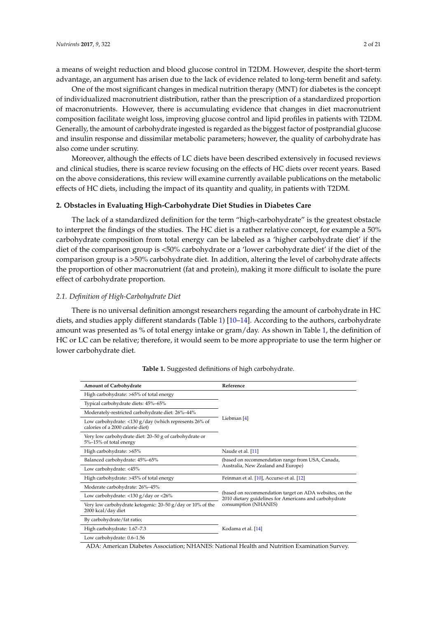a means of weight reduction and blood glucose control in T2DM. However, despite the short-term advantage, an argument has arisen due to the lack of evidence related to long-term benefit and safety.

One of the most significant changes in medical nutrition therapy (MNT) for diabetes is the concept of individualized macronutrient distribution, rather than the prescription of a standardized proportion of macronutrients. However, there is accumulating evidence that changes in diet macronutrient composition facilitate weight loss, improving glucose control and lipid profiles in patients with T2DM. Generally, the amount of carbohydrate ingested is regarded as the biggest factor of postprandial glucose and insulin response and dissimilar metabolic parameters; however, the quality of carbohydrate has also come under scrutiny.

Moreover, although the effects of LC diets have been described extensively in focused reviews and clinical studies, there is scarce review focusing on the effects of HC diets over recent years. Based on the above considerations, this review will examine currently available publications on the metabolic effects of HC diets, including the impact of its quantity and quality, in patients with T2DM.

## **2. Obstacles in Evaluating High-Carbohydrate Diet Studies in Diabetes Care**

The lack of a standardized definition for the term "high-carbohydrate" is the greatest obstacle to interpret the findings of the studies. The HC diet is a rather relative concept, for example a 50% carbohydrate composition from total energy can be labeled as a 'higher carbohydrate diet' if the diet of the comparison group is <50% carbohydrate or a 'lower carbohydrate diet' if the diet of the comparison group is a >50% carbohydrate diet. In addition, altering the level of carbohydrate affects the proportion of other macronutrient (fat and protein), making it more difficult to isolate the pure effect of carbohydrate proportion.

# *2.1. Definition of High-Carbohydrate Diet*

There is no universal definition amongst researchers regarding the amount of carbohydrate in HC diets, and studies apply different standards (Table [1\)](#page-1-0) [\[10](#page-15-6)[–14\]](#page-15-7). According to the authors, carbohydrate amount was presented as % of total energy intake or gram/day. As shown in Table [1,](#page-1-0) the definition of HC or LC can be relative; therefore, it would seem to be more appropriate to use the term higher or lower carbohydrate diet.

<span id="page-1-0"></span>

| <b>Amount of Carbohydrate</b>                                                                                     | Reference                                                                                                         |  |  |
|-------------------------------------------------------------------------------------------------------------------|-------------------------------------------------------------------------------------------------------------------|--|--|
| High carbohydrate: >65% of total energy                                                                           |                                                                                                                   |  |  |
| Typical carbohydrate diets: 45%-65%                                                                               | Liebman [4]                                                                                                       |  |  |
| Moderately-restricted carbohydrate diet: 26%-44%                                                                  |                                                                                                                   |  |  |
| Low carbohydrate: $\langle 130 \text{ g}/\text{day}$ (which represents 26% of<br>calories of a 2000 calorie diet) |                                                                                                                   |  |  |
| Very low carbohydrate diet: 20–50 g of carbohydrate or<br>5%-15% of total energy                                  |                                                                                                                   |  |  |
| High carbohydrate: >65%                                                                                           | Naude et al. [11]                                                                                                 |  |  |
| Balanced carbohydrate: 45%-65%                                                                                    | (based on recommendation range from USA, Canada,                                                                  |  |  |
| Low carbohydrate: <45%                                                                                            | Australia, New Zealand and Europe)                                                                                |  |  |
| High carbohydrate: >45% of total energy                                                                           | Feinman et al. [10], Accurso et al. [12]                                                                          |  |  |
| Moderate carbohydrate: 26%-45%                                                                                    |                                                                                                                   |  |  |
| Low carbohydrate: $\langle 130 \text{ g}/\text{day} \text{ or } \langle 26 \rangle$                               | (based on recommendation target on ADA websites, on the<br>2010 dietary guidelines for Americans and carbohydrate |  |  |
| Very low carbohydrate ketogenic: $20-50$ g/day or 10% of the<br>2000 kcal/day diet                                | consumption (NHANES)                                                                                              |  |  |
| By carbohydrate/fat ratio;                                                                                        |                                                                                                                   |  |  |
| High carbohydrate: 1.67-7.3                                                                                       | Kodama et al. [14]                                                                                                |  |  |
| Low carbohydrate: 0.6-1.56                                                                                        |                                                                                                                   |  |  |

**Table 1.** Suggested definitions of high carbohydrate.

ADA: American Diabetes Association; NHANES: National Health and Nutrition Examination Survey.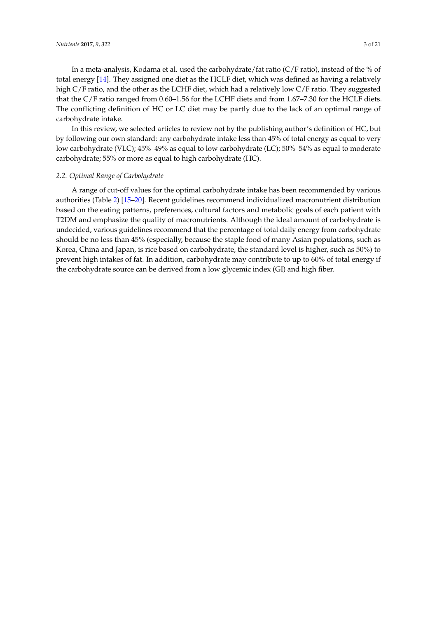In a meta-analysis, Kodama et al. used the carbohydrate/fat ratio (C/F ratio), instead of the % of total energy [\[14\]](#page-15-7). They assigned one diet as the HCLF diet, which was defined as having a relatively high C/F ratio, and the other as the LCHF diet, which had a relatively low C/F ratio. They suggested that the C/F ratio ranged from 0.60–1.56 for the LCHF diets and from 1.67–7.30 for the HCLF diets. The conflicting definition of HC or LC diet may be partly due to the lack of an optimal range of carbohydrate intake.

In this review, we selected articles to review not by the publishing author's definition of HC, but by following our own standard: any carbohydrate intake less than 45% of total energy as equal to very low carbohydrate (VLC); 45%–49% as equal to low carbohydrate (LC); 50%–54% as equal to moderate carbohydrate; 55% or more as equal to high carbohydrate (HC).

# *2.2. Optimal Range of Carbohydrate*

A range of cut-off values for the optimal carbohydrate intake has been recommended by various authorities (Table [2\)](#page-3-0) [\[15](#page-15-11)[–20\]](#page-16-0). Recent guidelines recommend individualized macronutrient distribution based on the eating patterns, preferences, cultural factors and metabolic goals of each patient with T2DM and emphasize the quality of macronutrients. Although the ideal amount of carbohydrate is undecided, various guidelines recommend that the percentage of total daily energy from carbohydrate should be no less than 45% (especially, because the staple food of many Asian populations, such as Korea, China and Japan, is rice based on carbohydrate, the standard level is higher, such as 50%) to prevent high intakes of fat. In addition, carbohydrate may contribute to up to 60% of total energy if the carbohydrate source can be derived from a low glycemic index (GI) and high fiber.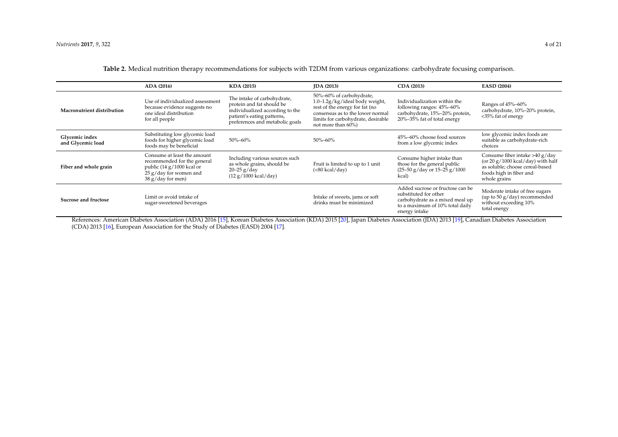|                                                                                                                                                                                    | ADA (2016)                                                                                                                                                                                                                                                                   | KDA (2015) | JDA (2013)                                                                                                                                                                                   | <b>CDA</b> (2013)                                                                                                                                | <b>EASD (2004)</b>                                                                                                                                    |  |  |
|------------------------------------------------------------------------------------------------------------------------------------------------------------------------------------|------------------------------------------------------------------------------------------------------------------------------------------------------------------------------------------------------------------------------------------------------------------------------|------------|----------------------------------------------------------------------------------------------------------------------------------------------------------------------------------------------|--------------------------------------------------------------------------------------------------------------------------------------------------|-------------------------------------------------------------------------------------------------------------------------------------------------------|--|--|
| Macronutrient distribution                                                                                                                                                         | The intake of carbohydrate,<br>Use of individualized assessment<br>protein and fat should be<br>because evidence suggests no<br>individualized according to the<br>one ideal distribution<br>patient's eating patterns,<br>for all people<br>preferences and metabolic goals |            | 50%-60% of carbohydrate,<br>1.0-1.2g/kg/ideal body weight,<br>rest of the energy for fat (no<br>consensus as to the lower normal<br>limits for carbohydrate, desirable<br>not more than 60%) | Individualization within the<br>following ranges: 45%-60%<br>carbohydrate, 15%-20% protein,<br>20%-35% fat of total energy                       | Ranges of 45%-60%<br>carbohydrate, 10%-20% protein,<br><35% fat of energy                                                                             |  |  |
| Glycemic index<br>and Glycemic load                                                                                                                                                | Substituting low glycemic load<br>foods for higher glycemic load<br>$50\% - 60\%$<br>foods may be beneficial                                                                                                                                                                 |            | $50\% - 60\%$                                                                                                                                                                                | 45%-60% choose food sources<br>from a low glycemic index                                                                                         |                                                                                                                                                       |  |  |
| Fiber and whole grain                                                                                                                                                              | Consume at least the amount<br>Including various sources such<br>recommended for the general<br>as whole grains, should be<br>public (14 g/1000 kcal or<br>$20-25$ g/day<br>$25$ g/day for women and<br>(12 g/1000 kcal/day)<br>$38 g/day$ for men)                          |            | Fruit is limited to up to 1 unit<br>$(<$ 80 kcal/day)                                                                                                                                        | Consume higher intake than<br>those for the general public<br>$(25-50 \text{ g}/\text{day or } 15-25 \text{ g}/1000$<br>kcal)                    | Consume fiber intake $>40 g/day$<br>(or $20 g/1000$ kcal/day) with half<br>as soluble; choose cereal-based<br>foods high in fiber and<br>whole grains |  |  |
| Sucrose and fructose                                                                                                                                                               | Limit or avoid intake of<br>sugar-sweetened beverages                                                                                                                                                                                                                        |            | Intake of sweets, jams or soft<br>drinks must be minimized                                                                                                                                   | Added sucrose or fructose can be<br>substituted for other<br>carbohydrate as a mixed meal up<br>to a maximum of 10% total daily<br>energy intake | Moderate intake of free sugars<br>(up to 50 g/day) recommended<br>without exceeding 10%<br>total energy                                               |  |  |
| References: American Displates Association (ADA) 2016 [15] Korean Displates Association (KDA) 2015 [20] Japan Displates Association (IDA) 2012 [10] Canadian Displates Association |                                                                                                                                                                                                                                                                              |            |                                                                                                                                                                                              |                                                                                                                                                  |                                                                                                                                                       |  |  |

**Table 2.** Medical nutrition therapy recommendations for subjects with T2DM from various organizations: carbohydrate focusing comparison.

<span id="page-3-0"></span>References: American Diabetes Association (ADA) 2016 [\[15\]](#page-15-12), Korean Diabetes Association (KDA) 2015 [\[20\]](#page-16-1), Japan Diabetes Association (JDA) 2013 [\[19\]](#page-16-2), Canadian Diabetes Association (CDA) 2013 [\[16\]](#page-15-13), European Association for the Study of Diabetes (EASD) 2004 [\[17\]](#page-15-14).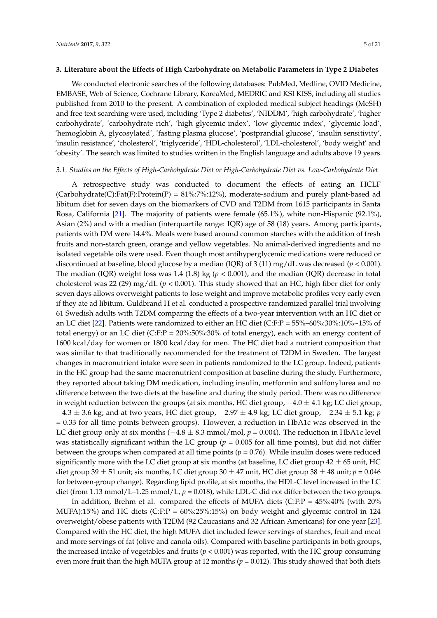## **3. Literature about the Effects of High Carbohydrate on Metabolic Parameters in Type 2 Diabetes**

We conducted electronic searches of the following databases: PubMed, Medline, OVID Medicine, EMBASE, Web of Science, Cochrane Library, KoreaMed, MEDRIC and KSI KISS, including all studies published from 2010 to the present. A combination of exploded medical subject headings (MeSH) and free text searching were used, including 'Type 2 diabetes', 'NIDDM', 'high carbohydrate', 'higher carbohydrate', 'carbohydrate rich', 'high glycemic index', 'low glycemic index', 'glycemic load', 'hemoglobin A, glycosylated', 'fasting plasma glucose', 'postprandial glucose', 'insulin sensitivity', 'insulin resistance', 'cholesterol', 'triglyceride', 'HDL-cholesterol', 'LDL-cholesterol', 'body weight' and 'obesity'. The search was limited to studies written in the English language and adults above 19 years.

#### *3.1. Studies on the Effects of High-Carbohydrate Diet or High-Carbohydrate Diet vs. Low-Carbohydrate Diet*

A retrospective study was conducted to document the effects of eating an HCLF  $(Carbohydrod)$ :Fat(F):Protein(P) = 81%:7%:12%), moderate-sodium and purely plant-based ad libitum diet for seven days on the biomarkers of CVD and T2DM from 1615 participants in Santa Rosa, California [\[21\]](#page-16-3). The majority of patients were female (65.1%), white non-Hispanic (92.1%), Asian (2%) and with a median (interquartile range: IQR) age of 58 (18) years. Among participants, patients with DM were 14.4%. Meals were based around common starches with the addition of fresh fruits and non-starch green, orange and yellow vegetables. No animal-derived ingredients and no isolated vegetable oils were used. Even though most antihyperglycemic medications were reduced or discontinued at baseline, blood glucose by a median (IQR) of 3 (11) mg/dL was decreased (*p* < 0.001). The median (IQR) weight loss was 1.4 (1.8) kg (*p* < 0.001), and the median (IQR) decrease in total cholesterol was 22 (29) mg/dL ( $p < 0.001$ ). This study showed that an HC, high fiber diet for only seven days allows overweight patients to lose weight and improve metabolic profiles very early even if they ate ad libitum. Guldbrand H et al. conducted a prospective randomized parallel trial involving 61 Swedish adults with T2DM comparing the effects of a two-year intervention with an HC diet or an LC diet [\[22\]](#page-16-4). Patients were randomized to either an HC diet (C:F:P = 55%–60%:30%:10%~15% of total energy) or an LC diet (C:F:P =  $20\%$ :50%:30% of total energy), each with an energy content of 1600 kcal/day for women or 1800 kcal/day for men. The HC diet had a nutrient composition that was similar to that traditionally recommended for the treatment of T2DM in Sweden. The largest changes in macronutrient intake were seen in patients randomized to the LC group. Indeed, patients in the HC group had the same macronutrient composition at baseline during the study. Furthermore, they reported about taking DM medication, including insulin, metformin and sulfonylurea and no difference between the two diets at the baseline and during the study period. There was no difference in weight reduction between the groups (at six months, HC diet group,  $-4.0 \pm 4.1$  kg; LC diet group, −4.3 ± 3.6 kg; and at two years, HC diet group, −2.97 ± 4.9 kg; LC diet group, −2.34 ± 5.1 kg; *p* = 0.33 for all time points between groups). However, a reduction in HbA1c was observed in the LC diet group only at six months (−4.8 ± 8.3 mmol/mol, *p* = 0.004). The reduction in HbA1c level was statistically significant within the LC group ( $p = 0.005$  for all time points), but did not differ between the groups when compared at all time points ( $p = 0.76$ ). While insulin doses were reduced significantly more with the LC diet group at six months (at baseline, LC diet group  $42 \pm 65$  unit, HC diet group  $39 \pm 51$  unit; six months, LC diet group  $30 \pm 47$  unit, HC diet group  $38 \pm 48$  unit;  $p = 0.046$ for between-group change). Regarding lipid profile, at six months, the HDL-C level increased in the LC diet (from 1.13 mmol/L–1.25 mmol/L, *p* = 0.018), while LDL-C did not differ between the two groups.

In addition, Brehm et al. compared the effects of MUFA diets (C:F:P =  $45\%$ :40% (with 20%) MUFA):15%) and HC diets (C:F:P =  $60\%$ :25%:15%) on body weight and glycemic control in 124 overweight/obese patients with T2DM (92 Caucasians and 32 African Americans) for one year [\[23\]](#page-16-5). Compared with the HC diet, the high MUFA diet included fewer servings of starches, fruit and meat and more servings of fat (olive and canola oils). Compared with baseline participants in both groups, the increased intake of vegetables and fruits (*p* < 0.001) was reported, with the HC group consuming even more fruit than the high MUFA group at 12 months ( $p = 0.012$ ). This study showed that both diets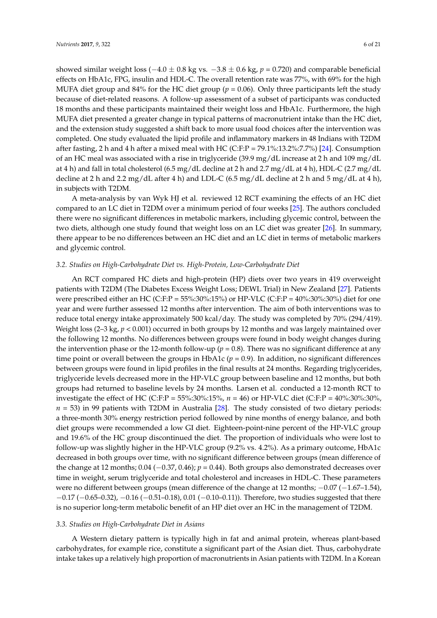showed similar weight loss (−4.0 ± 0.8 kg vs. −3.8 ± 0.6 kg, *p* = 0.720) and comparable beneficial effects on HbA1c, FPG, insulin and HDL-C. The overall retention rate was 77%, with 69% for the high MUFA diet group and 84% for the HC diet group ( $p = 0.06$ ). Only three participants left the study because of diet-related reasons. A follow-up assessment of a subset of participants was conducted 18 months and these participants maintained their weight loss and HbA1c. Furthermore, the high MUFA diet presented a greater change in typical patterns of macronutrient intake than the HC diet, and the extension study suggested a shift back to more usual food choices after the intervention was completed. One study evaluated the lipid profile and inflammatory markers in 48 Indians with T2DM after fasting, 2 h and 4 h after a mixed meal with HC (C:F:P = 79.1%:13.2%:7.7%) [\[24\]](#page-16-6). Consumption of an HC meal was associated with a rise in triglyceride (39.9 mg/dL increase at 2 h and 109 mg/dL at 4 h) and fall in total cholesterol (6.5 mg/dL decline at 2 h and 2.7 mg/dL at 4 h), HDL-C (2.7 mg/dL decline at 2 h and 2.2 mg/dL after 4 h) and LDL-C (6.5 mg/dL decline at 2 h and 5 mg/dL at 4 h), in subjects with T2DM.

A meta-analysis by van Wyk HJ et al. reviewed 12 RCT examining the effects of an HC diet compared to an LC diet in T2DM over a minimum period of four weeks [\[25\]](#page-16-7). The authors concluded there were no significant differences in metabolic markers, including glycemic control, between the two diets, although one study found that weight loss on an LC diet was greater [\[26\]](#page-16-8). In summary, there appear to be no differences between an HC diet and an LC diet in terms of metabolic markers and glycemic control.

## *3.2. Studies on High-Carbohydrate Diet vs. High-Protein, Low-Carbohydrate Diet*

An RCT compared HC diets and high-protein (HP) diets over two years in 419 overweight patients with T2DM (The Diabetes Excess Weight Loss; DEWL Trial) in New Zealand [\[27\]](#page-16-9). Patients were prescribed either an HC (C:F:P = 55%:30%:15%) or HP-VLC (C:F:P = 40%:30%:30%) diet for one year and were further assessed 12 months after intervention. The aim of both interventions was to reduce total energy intake approximately 500 kcal/day. The study was completed by 70% (294/419). Weight loss (2–3 kg,  $p < 0.001$ ) occurred in both groups by 12 months and was largely maintained over the following 12 months. No differences between groups were found in body weight changes during the intervention phase or the 12-month follow-up  $(p = 0.8)$ . There was no significant difference at any time point or overall between the groups in HbA1c ( $p = 0.9$ ). In addition, no significant differences between groups were found in lipid profiles in the final results at 24 months. Regarding triglycerides, triglyceride levels decreased more in the HP-VLC group between baseline and 12 months, but both groups had returned to baseline levels by 24 months. Larsen et al. conducted a 12-month RCT to investigate the effect of HC (C:F:P = 55%:30%:15%, *n* = 46) or HP-VLC diet (C:F:P = 40%:30%:30%,  $n = 53$ ) in 99 patients with T2DM in Australia [\[28\]](#page-16-10). The study consisted of two dietary periods: a three-month 30% energy restriction period followed by nine months of energy balance, and both diet groups were recommended a low GI diet. Eighteen-point-nine percent of the HP-VLC group and 19.6% of the HC group discontinued the diet. The proportion of individuals who were lost to follow-up was slightly higher in the HP-VLC group (9.2% vs. 4.2%). As a primary outcome, HbA1c decreased in both groups over time, with no significant difference between groups (mean difference of the change at 12 months; 0.04 (−0.37, 0.46); *p* = 0.44). Both groups also demonstrated decreases over time in weight, serum triglyceride and total cholesterol and increases in HDL-C. These parameters were no different between groups (mean difference of the change at 12 months; −0.07 (−1.67–1.54), −0.17 (−0.65–0.32), −0.16 (−0.51–0.18), 0.01 (−0.10–0.11)). Therefore, two studies suggested that there is no superior long-term metabolic benefit of an HP diet over an HC in the management of T2DM.

## *3.3. Studies on High-Carbohydrate Diet in Asians*

A Western dietary pattern is typically high in fat and animal protein, whereas plant-based carbohydrates, for example rice, constitute a significant part of the Asian diet. Thus, carbohydrate intake takes up a relatively high proportion of macronutrients in Asian patients with T2DM. In a Korean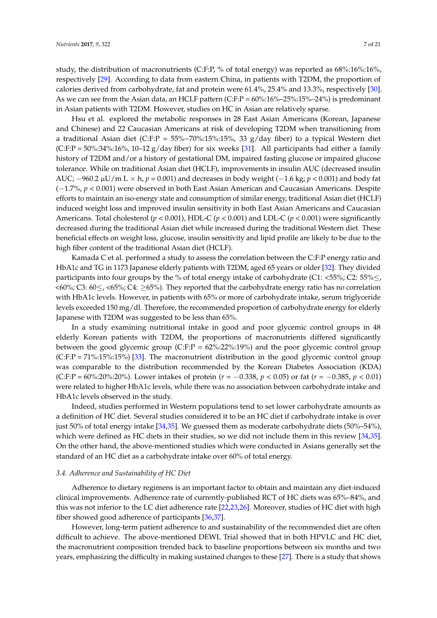study, the distribution of macronutrients (C:F:P, % of total energy) was reported as 68%:16%:16%, respectively [\[29\]](#page-16-11). According to data from eastern China, in patients with T2DM, the proportion of calories derived from carbohydrate, fat and protein were 61.4%, 25.4% and 13.3%, respectively [\[30\]](#page-16-12). As we can see from the Asian data, an HCLF pattern (C:F:P =  $60\%$ :16%-25%:15%-24%) is predominant in Asian patients with T2DM. However, studies on HC in Asian are relatively sparse.

Hsu et al. explored the metabolic responses in 28 East Asian Americans (Korean, Japanese and Chinese) and 22 Caucasian Americans at risk of developing T2DM when transitioning from a traditional Asian diet (C:F:P =  $55\%~70\%$ :15%:15%, 33 g/day fiber) to a typical Western diet  $(C.F.P = 50\% : 34\% : 16\%, 10-12 g/day$  fiber) for six weeks [\[31\]](#page-16-13). All participants had either a family history of T2DM and/or a history of gestational DM, impaired fasting glucose or impaired glucose tolerance. While on traditional Asian diet (HCLF), improvements in insulin AUC (decreased insulin AUC; −960.2 µU/m L × h, *p* = 0.001) and decreases in body weight (−1.6 kg; *p* < 0.001) and body fat (−1.7%, *p* < 0.001) were observed in both East Asian American and Caucasian Americans. Despite efforts to maintain an iso-energy state and consumption of similar energy, traditional Asian diet (HCLF) induced weight loss and improved insulin sensitivity in both East Asian Americans and Caucasian Americans. Total cholesterol (*p* < 0.001), HDL-C (*p* < 0.001) and LDL-C (*p* < 0.001) were significantly decreased during the traditional Asian diet while increased during the traditional Western diet. These beneficial effects on weight loss, glucose, insulin sensitivity and lipid profile are likely to be due to the high fiber content of the traditional Asian diet (HCLF).

Kamada C et al. performed a study to assess the correlation between the C:F:P energy ratio and HbA1c and TG in 1173 Japanese elderly patients with T2DM, aged 65 years or older [\[32\]](#page-16-14). They divided participants into four groups by the % of total energy intake of carbohydrate (C1: <55%; C2:  $55\% \leq$ ,  $<$ 60%; C3: 60 $\le$ ,  $<$ 65%; C4:  $\ge$ 65%). They reported that the carbohydrate energy ratio has no correlation with HbA1c levels. However, in patients with 65% or more of carbohydrate intake, serum triglyceride levels exceeded 150 mg/dl. Therefore, the recommended proportion of carbohydrate energy for elderly Japanese with T2DM was suggested to be less than 65%.

In a study examining nutritional intake in good and poor glycemic control groups in 48 elderly Korean patients with T2DM, the proportions of macronutrients differed significantly between the good glycemic group (C:F:P =  $62\%$ :22%:19%) and the poor glycemic control group (C:F:P = 71%:15%:15%) [\[33\]](#page-16-15). The macronutrient distribution in the good glycemic control group was comparable to the distribution recommended by the Korean Diabetes Association (KDA) (C:F:P = 60%:20%:20%). Lower intakes of protein (*r* = −0.338, *p* < 0.05) or fat (*r* = −0.385, *p* < 0.01) were related to higher HbA1c levels, while there was no association between carbohydrate intake and HbA1c levels observed in the study.

Indeed, studies performed in Western populations tend to set lower carbohydrate amounts as a definition of HC diet. Several studies considered it to be an HC diet if carbohydrate intake is over just 50% of total energy intake [\[34,](#page-16-16)[35\]](#page-17-0). We guessed them as moderate carbohydrate diets (50%–54%), which were defined as HC diets in their studies, so we did not include them in this review [\[34,](#page-16-16)[35\]](#page-17-0). On the other hand, the above-mentioned studies which were conducted in Asians generally set the standard of an HC diet as a carbohydrate intake over 60% of total energy.

#### *3.4. Adherence and Sustainability of HC Diet*

Adherence to dietary regimens is an important factor to obtain and maintain any diet-induced clinical improvements. Adherence rate of currently-published RCT of HC diets was 65%–84%, and this was not inferior to the LC diet adherence rate [\[22](#page-16-4)[,23](#page-16-5)[,26\]](#page-16-8). Moreover, studies of HC diet with high fiber showed good adherence of participants [\[36,](#page-17-1)[37\]](#page-17-2).

However, long-term patient adherence to and sustainability of the recommended diet are often difficult to achieve. The above-mentioned DEWL Trial showed that in both HPVLC and HC diet, the macronutrient composition trended back to baseline proportions between six months and two years, emphasizing the difficulty in making sustained changes to these [\[27\]](#page-16-9). There is a study that shows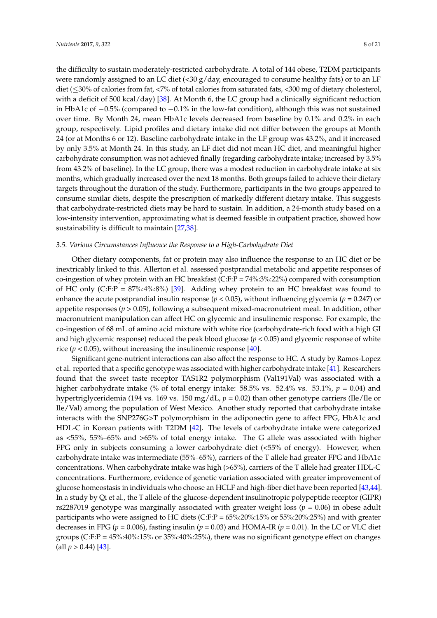the difficulty to sustain moderately-restricted carbohydrate. A total of 144 obese, T2DM participants were randomly assigned to an LC diet  $(\leq 30 \frac{g}{day})$  encouraged to consume healthy fats) or to an LF diet (≤30% of calories from fat, <7% of total calories from saturated fats, <300 mg of dietary cholesterol, with a deficit of 500 kcal/day) [\[38\]](#page-17-3). At Month 6, the LC group had a clinically significant reduction in HbA1c of −0.5% (compared to −0.1% in the low-fat condition), although this was not sustained over time. By Month 24, mean HbA1c levels decreased from baseline by 0.1% and 0.2% in each group, respectively. Lipid profiles and dietary intake did not differ between the groups at Month 24 (or at Months 6 or 12). Baseline carbohydrate intake in the LF group was 43.2%, and it increased by only 3.5% at Month 24. In this study, an LF diet did not mean HC diet, and meaningful higher carbohydrate consumption was not achieved finally (regarding carbohydrate intake; increased by 3.5% from 43.2% of baseline). In the LC group, there was a modest reduction in carbohydrate intake at six months, which gradually increased over the next 18 months. Both groups failed to achieve their dietary targets throughout the duration of the study. Furthermore, participants in the two groups appeared to consume similar diets, despite the prescription of markedly different dietary intake. This suggests that carbohydrate-restricted diets may be hard to sustain. In addition, a 24-month study based on a low-intensity intervention, approximating what is deemed feasible in outpatient practice, showed how sustainability is difficult to maintain [\[27,](#page-16-9)[38\]](#page-17-3).

# *3.5. Various Circumstances Influence the Response to a High-Carbohydrate Diet*

Other dietary components, fat or protein may also influence the response to an HC diet or be inextricably linked to this. Allerton et al. assessed postprandial metabolic and appetite responses of co-ingestion of whey protein with an HC breakfast (C:F:P = 74%:3%:22%) compared with consumption of HC only (C:F:P =  $87\%$ :4%:8%) [\[39\]](#page-17-4). Adding whey protein to an HC breakfast was found to enhance the acute postprandial insulin response (*p* < 0.05), without influencing glycemia (*p* = 0.247) or appetite responses (*p* > 0.05), following a subsequent mixed-macronutrient meal. In addition, other macronutrient manipulation can affect HC on glycemic and insulinemic response. For example, the co-ingestion of 68 mL of amino acid mixture with white rice (carbohydrate-rich food with a high GI and high glycemic response) reduced the peak blood glucose (*p* < 0.05) and glycemic response of white rice ( $p < 0.05$ ), without increasing the insulinemic response [ $40$ ].

Significant gene-nutrient interactions can also affect the response to HC. A study by Ramos-Lopez et al. reported that a specific genotype was associated with higher carbohydrate intake [\[41\]](#page-17-6). Researchers found that the sweet taste receptor TAS1R2 polymorphism (Val191Val) was associated with a higher carbohydrate intake (% of total energy intake: 58.5% vs. 52.4% vs. 53.1%, *p* = 0.04) and hypertriglyceridemia (194 vs. 169 vs. 150 mg/dL, *p* = 0.02) than other genotype carriers (Ile/Ile or Ile/Val) among the population of West Mexico. Another study reported that carbohydrate intake interacts with the SNP276G>T polymorphism in the adiponectin gene to affect FPG, HbA1c and HDL-C in Korean patients with T2DM [\[42\]](#page-17-7). The levels of carbohydrate intake were categorized as <55%, 55%–65% and >65% of total energy intake. The G allele was associated with higher FPG only in subjects consuming a lower carbohydrate diet (<55% of energy). However, when carbohydrate intake was intermediate (55%–65%), carriers of the T allele had greater FPG and HbA1c concentrations. When carbohydrate intake was high (>65%), carriers of the T allele had greater HDL-C concentrations. Furthermore, evidence of genetic variation associated with greater improvement of glucose homeostasis in individuals who choose an HCLF and high-fiber diet have been reported [\[43](#page-17-8)[,44\]](#page-17-9). In a study by Qi et al., the T allele of the glucose-dependent insulinotropic polypeptide receptor (GIPR) rs2287019 genotype was marginally associated with greater weight loss ( $p = 0.06$ ) in obese adult participants who were assigned to HC diets (C:F:P = 65%:20%:15% or 55%:20%:25%) and with greater decreases in FPG ( $p = 0.006$ ), fasting insulin ( $p = 0.03$ ) and HOMA-IR ( $p = 0.01$ ). In the LC or VLC diet groups  $(C:F.P = 45\%, 40\%, 15\%$  or 35%:40%:25%), there was no significant genotype effect on changes  $\text{(all } p > 0.44)$  [\[43\]](#page-17-8).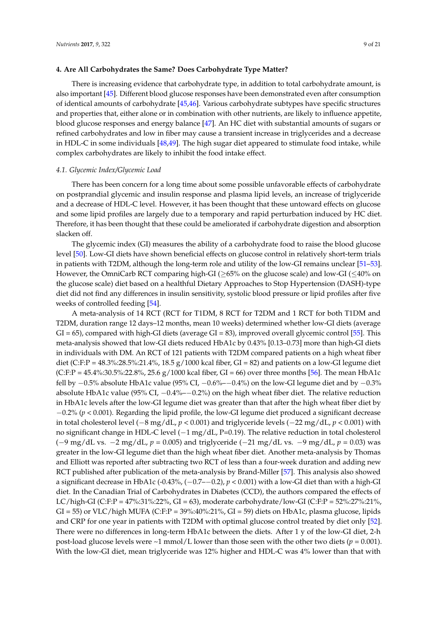## **4. Are All Carbohydrates the Same? Does Carbohydrate Type Matter?**

There is increasing evidence that carbohydrate type, in addition to total carbohydrate amount, is also important [\[45\]](#page-17-10). Different blood glucose responses have been demonstrated even after consumption of identical amounts of carbohydrate [\[45,](#page-17-10)[46\]](#page-17-11). Various carbohydrate subtypes have specific structures and properties that, either alone or in combination with other nutrients, are likely to influence appetite, blood glucose responses and energy balance [\[47\]](#page-17-12). An HC diet with substantial amounts of sugars or refined carbohydrates and low in fiber may cause a transient increase in triglycerides and a decrease in HDL-C in some individuals [\[48](#page-17-13)[,49\]](#page-17-14). The high sugar diet appeared to stimulate food intake, while complex carbohydrates are likely to inhibit the food intake effect.

#### *4.1. Glycemic Index/Glycemic Load*

There has been concern for a long time about some possible unfavorable effects of carbohydrate on postprandial glycemic and insulin response and plasma lipid levels, an increase of triglyceride and a decrease of HDL-C level. However, it has been thought that these untoward effects on glucose and some lipid profiles are largely due to a temporary and rapid perturbation induced by HC diet. Therefore, it has been thought that these could be ameliorated if carbohydrate digestion and absorption slacken off.

The glycemic index (GI) measures the ability of a carbohydrate food to raise the blood glucose level [\[50\]](#page-17-15). Low-GI diets have shown beneficial effects on glucose control in relatively short-term trials in patients with T2DM, although the long-term role and utility of the low-GI remains unclear [\[51–](#page-17-16)[53\]](#page-18-0). However, the OmniCarb RCT comparing high-GI ( $\geq 65\%$  on the glucose scale) and low-GI ( $\leq 40\%$  on the glucose scale) diet based on a healthful Dietary Approaches to Stop Hypertension (DASH)-type diet did not find any differences in insulin sensitivity, systolic blood pressure or lipid profiles after five weeks of controlled feeding [\[54\]](#page-18-1).

A meta-analysis of 14 RCT (RCT for T1DM, 8 RCT for T2DM and 1 RCT for both T1DM and T2DM, duration range 12 days–12 months, mean 10 weeks) determined whether low-GI diets (average  $GI = 65$ ), compared with high-GI diets (average  $GI = 83$ ), improved overall glycemic control [\[55\]](#page-18-2). This meta-analysis showed that low-GI diets reduced HbA1c by 0.43% [0.13–0.73] more than high-GI diets in individuals with DM. An RCT of 121 patients with T2DM compared patients on a high wheat fiber diet (C:F:P =  $48.3\%$ :28.5%:21.4%, 18.5 g/1000 kcal fiber, GI = 82) and patients on a low-GI legume diet  $(C.F.P = 45.4\% : 30.5\% : 22.8\%, 25.6 g/1000$  kcal fiber, GI = 66) over three months [\[56\]](#page-18-3). The mean HbA1c fell by −0.5% absolute HbA1c value (95% CI, −0.6%–−0.4%) on the low-GI legume diet and by −0.3% absolute HbA1c value (95% CI, −0.4%–−0.2%) on the high wheat fiber diet. The relative reduction in HbA1c levels after the low-GI legume diet was greater than that after the high wheat fiber diet by −0.2% (*p* < 0.001). Regarding the lipid profile, the low-GI legume diet produced a significant decrease in total cholesterol level (−8 mg/dL, *p* < 0.001) and triglyceride levels (−22 mg/dL, *p* < 0.001) with no significant change in HDL-C level (−1 mg/dL, P=0.19). The relative reduction in total cholesterol (−9 mg/dL vs. −2 mg/dL, *p* = 0.005) and triglyceride (−21 mg/dL vs. −9 mg/dL, *p* = 0.03) was greater in the low-GI legume diet than the high wheat fiber diet. Another meta-analysis by Thomas and Elliott was reported after subtracting two RCT of less than a four-week duration and adding new RCT published after publication of the meta-analysis by Brand-Miller [\[57\]](#page-18-4). This analysis also showed a significant decrease in HbA1c (-0.43%, (−0.7–−0.2), *p* < 0.001) with a low-GI diet than with a high-GI diet. In the Canadian Trial of Carbohydrates in Diabetes (CCD), the authors compared the effects of LC/high-GI (C:F:P =  $47\%$ :31%:22%, GI = 63), moderate carbohydrate/low-GI (C:F:P =  $52\%$ :27%:21%, GI = 55) or VLC/high MUFA (C:F:P = 39%:40%:21%, GI = 59) diets on HbA1c, plasma glucose, lipids and CRP for one year in patients with T2DM with optimal glucose control treated by diet only [\[52\]](#page-18-5). There were no differences in long-term HbA1c between the diets. After 1 y of the low-GI diet, 2-h post-load glucose levels were  $\sim$ 1 mmol/L lower than those seen with the other two diets ( $p = 0.001$ ). With the low-GI diet, mean triglyceride was 12% higher and HDL-C was 4% lower than that with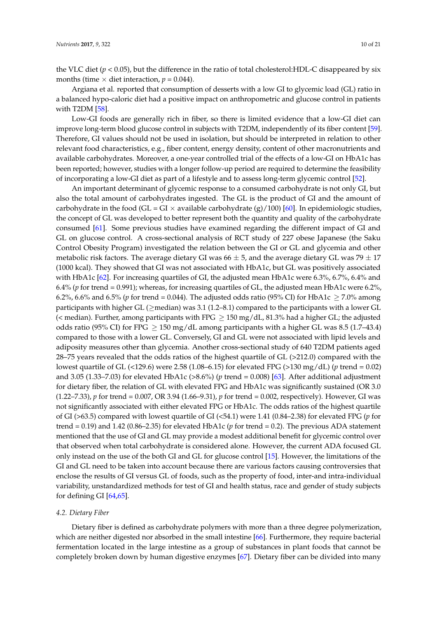the VLC diet ( $p < 0.05$ ), but the difference in the ratio of total cholesterol:HDL-C disappeared by six months (time  $\times$  diet interaction,  $p = 0.044$ ).

Argiana et al. reported that consumption of desserts with a low GI to glycemic load (GL) ratio in a balanced hypo-caloric diet had a positive impact on anthropometric and glucose control in patients with T2DM [\[58\]](#page-18-6).

Low-GI foods are generally rich in fiber, so there is limited evidence that a low-GI diet can improve long-term blood glucose control in subjects with T2DM, independently of its fiber content [\[59\]](#page-18-7). Therefore, GI values should not be used in isolation, but should be interpreted in relation to other relevant food characteristics, e.g., fiber content, energy density, content of other macronutrients and available carbohydrates. Moreover, a one-year controlled trial of the effects of a low-GI on HbA1c has been reported; however, studies with a longer follow-up period are required to determine the feasibility of incorporating a low-GI diet as part of a lifestyle and to assess long-term glycemic control [\[52\]](#page-18-5).

An important determinant of glycemic response to a consumed carbohydrate is not only GI, but also the total amount of carbohydrates ingested. The GL is the product of GI and the amount of carbohydrate in the food (GL = GI  $\times$  available carbohydrate (g)/100) [\[60\]](#page-18-8). In epidemiologic studies, the concept of GL was developed to better represent both the quantity and quality of the carbohydrate consumed [\[61\]](#page-18-9). Some previous studies have examined regarding the different impact of GI and GL on glucose control. A cross-sectional analysis of RCT study of 227 obese Japanese (the Saku Control Obesity Program) investigated the relation between the GI or GL and glycemia and other metabolic risk factors. The average dietary GI was  $66 \pm 5$ , and the average dietary GL was  $79 \pm 17$ (1000 kcal). They showed that GI was not associated with HbA1c, but GL was positively associated with HbA1c [\[62\]](#page-18-10). For increasing quartiles of GI, the adjusted mean HbA1c were 6.3%, 6.7%, 6.4% and 6.4% (*p* for trend = 0.991); whereas, for increasing quartiles of GL, the adjusted mean HbA1c were 6.2%, 6.2%, 6.6% and 6.5% (*p* for trend = 0.044). The adjusted odds ratio (95% CI) for HbA1c  $\geq$  7.0% among participants with higher GL ( $\geq$ median) was 3.1 (1.2–8.1) compared to the participants with a lower GL (< median). Further, among participants with FPG  $\geq$  150 mg/dL, 81.3% had a higher GL; the adjusted odds ratio (95% CI) for FPG  $\geq$  150 mg/dL among participants with a higher GL was 8.5 (1.7–43.4) compared to those with a lower GL. Conversely, GI and GL were not associated with lipid levels and adiposity measures other than glycemia. Another cross-sectional study of 640 T2DM patients aged 28–75 years revealed that the odds ratios of the highest quartile of GL (>212.0) compared with the lowest quartile of GL (<129.6) were 2.58 (1.08–6.15) for elevated FPG (>130 mg/dL) (*p* trend = 0.02) and 3.05 (1.33–7.03) for elevated HbA1c (>8.6%) (*p* trend = 0.008) [\[63\]](#page-18-11). After additional adjustment for dietary fiber, the relation of GL with elevated FPG and HbA1c was significantly sustained (OR 3.0 (1.22–7.33), *p* for trend = 0.007, OR 3.94 (1.66–9.31), *p* for trend = 0.002, respectively). However, GI was not significantly associated with either elevated FPG or HbA1c. The odds ratios of the highest quartile of GI (>63.5) compared with lowest quartile of GI (<54.1) were 1.41 (0.84–2.38) for elevated FPG (*p* for trend = 0.19) and 1.42 (0.86–2.35) for elevated HbA1c (*p* for trend = 0.2). The previous ADA statement mentioned that the use of GI and GL may provide a modest additional benefit for glycemic control over that observed when total carbohydrate is considered alone. However, the current ADA focused GL only instead on the use of the both GI and GL for glucose control [\[15\]](#page-15-11). However, the limitations of the GI and GL need to be taken into account because there are various factors causing controversies that enclose the results of GI versus GL of foods, such as the property of food, inter-and intra-individual variability, unstandardized methods for test of GI and health status, race and gender of study subjects for defining GI [\[64](#page-18-12)[,65\]](#page-18-13).

# *4.2. Dietary Fiber*

Dietary fiber is defined as carbohydrate polymers with more than a three degree polymerization, which are neither digested nor absorbed in the small intestine [\[66\]](#page-18-14). Furthermore, they require bacterial fermentation located in the large intestine as a group of substances in plant foods that cannot be completely broken down by human digestive enzymes [\[67\]](#page-18-15). Dietary fiber can be divided into many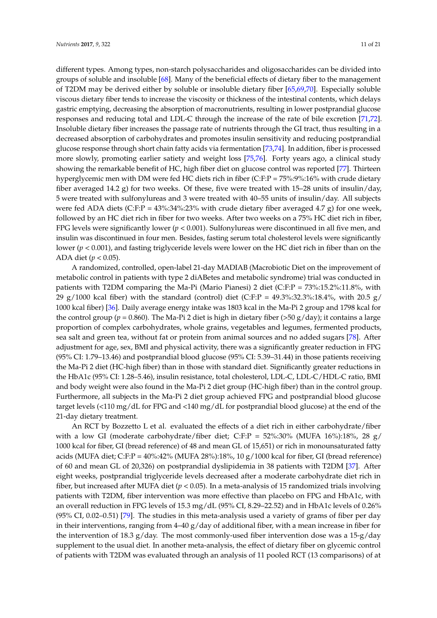different types. Among types, non-starch polysaccharides and oligosaccharides can be divided into groups of soluble and insoluble [\[68\]](#page-18-16). Many of the beneficial effects of dietary fiber to the management of T2DM may be derived either by soluble or insoluble dietary fiber [\[65,](#page-18-13)[69,](#page-18-17)[70\]](#page-18-18). Especially soluble viscous dietary fiber tends to increase the viscosity or thickness of the intestinal contents, which delays gastric emptying, decreasing the absorption of macronutrients, resulting in lower postprandial glucose responses and reducing total and LDL-C through the increase of the rate of bile excretion [\[71,](#page-19-0)[72\]](#page-19-1). Insoluble dietary fiber increases the passage rate of nutrients through the GI tract, thus resulting in a decreased absorption of carbohydrates and promotes insulin sensitivity and reducing postprandial glucose response through short chain fatty acids via fermentation [\[73](#page-19-2)[,74\]](#page-19-3). In addition, fiber is processed more slowly, promoting earlier satiety and weight loss [\[75](#page-19-4)[,76\]](#page-19-5). Forty years ago, a clinical study showing the remarkable benefit of HC, high fiber diet on glucose control was reported [\[77\]](#page-19-6). Thirteen hyperglycemic men with DM were fed HC diets rich in fiber (C:F:P = 75%:9%:16% with crude dietary fiber averaged 14.2 g) for two weeks. Of these, five were treated with 15–28 units of insulin/day, 5 were treated with sulfonylureas and 3 were treated with 40–55 units of insulin/day. All subjects were fed ADA diets (C:F:P =  $43\%$ :34%:23% with crude dietary fiber averaged 4.7 g) for one week, followed by an HC diet rich in fiber for two weeks. After two weeks on a 75% HC diet rich in fiber, FPG levels were significantly lower (*p* < 0.001). Sulfonylureas were discontinued in all five men, and insulin was discontinued in four men. Besides, fasting serum total cholesterol levels were significantly lower (*p* < 0.001), and fasting triglyceride levels were lower on the HC diet rich in fiber than on the ADA diet (*p* < 0.05).

A randomized, controlled, open-label 21-day MADIAB (Macrobiotic Diet on the improvement of metabolic control in patients with type 2 diABetes and metabolic syndrome) trial was conducted in patients with T2DM comparing the Ma-Pi (Mario Pianesi) 2 diet (C:F:P =  $73\%$ :15.2%:11.8%, with 29 g/1000 kcal fiber) with the standard (control) diet (C:F:P =  $49.3\%$ :32.3%:18.4%, with 20.5 g/ 1000 kcal fiber) [\[36\]](#page-17-1). Daily average energy intake was 1803 kcal in the Ma-Pi 2 group and 1798 kcal for the control group ( $p = 0.860$ ). The Ma-Pi 2 diet is high in dietary fiber (>50 g/day); it contains a large proportion of complex carbohydrates, whole grains, vegetables and legumes, fermented products, sea salt and green tea, without fat or protein from animal sources and no added sugars [\[78\]](#page-19-7). After adjustment for age, sex, BMI and physical activity, there was a significantly greater reduction in FPG (95% CI: 1.79–13.46) and postprandial blood glucose (95% CI: 5.39–31.44) in those patients receiving the Ma-Pi 2 diet (HC-high fiber) than in those with standard diet. Significantly greater reductions in the HbA1c (95% CI: 1.28–5.46), insulin resistance, total cholesterol, LDL-C, LDL-C/HDL-C ratio, BMI and body weight were also found in the Ma-Pi 2 diet group (HC-high fiber) than in the control group. Furthermore, all subjects in the Ma-Pi 2 diet group achieved FPG and postprandial blood glucose target levels (<110 mg/dL for FPG and <140 mg/dL for postprandial blood glucose) at the end of the 21-day dietary treatment.

An RCT by Bozzetto L et al. evaluated the effects of a diet rich in either carbohydrate/fiber with a low GI (moderate carbohydrate/fiber diet; C:F:P =  $52\%$ :30% (MUFA 16%):18%, 28 g/ 1000 kcal for fiber, GI (bread reference) of 48 and mean GL of 15,651) or rich in monounsaturated fatty acids (MUFA diet; C:F:P =  $40\%$ :42% (MUFA 28%):18%, 10 g/1000 kcal for fiber, GI (bread reference) of 60 and mean GL of 20,326) on postprandial dyslipidemia in 38 patients with T2DM [\[37\]](#page-17-2). After eight weeks, postprandial triglyceride levels decreased after a moderate carbohydrate diet rich in fiber, but increased after MUFA diet (*p* < 0.05). In a meta-analysis of 15 randomized trials involving patients with T2DM, fiber intervention was more effective than placebo on FPG and HbA1c, with an overall reduction in FPG levels of 15.3 mg/dL (95% CI, 8.29–22.52) and in HbA1c levels of 0.26% (95% CI, 0.02–0.51) [\[79\]](#page-19-8). The studies in this meta-analysis used a variety of grams of fiber per day in their interventions, ranging from  $4-40$  g/day of additional fiber, with a mean increase in fiber for the intervention of 18.3 g/day. The most commonly-used fiber intervention dose was a 15-g/day supplement to the usual diet. In another meta-analysis, the effect of dietary fiber on glycemic control of patients with T2DM was evaluated through an analysis of 11 pooled RCT (13 comparisons) of at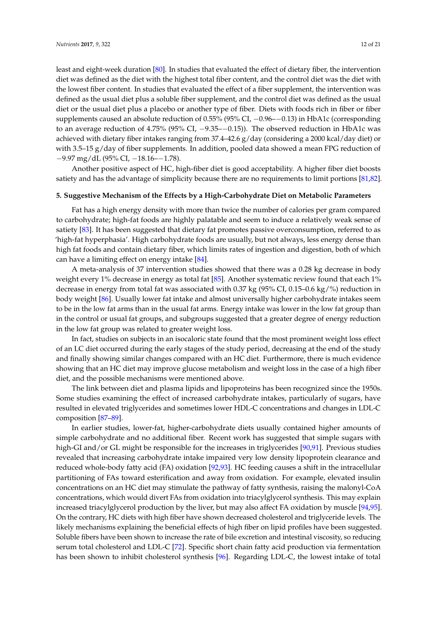least and eight-week duration [\[80\]](#page-19-9). In studies that evaluated the effect of dietary fiber, the intervention diet was defined as the diet with the highest total fiber content, and the control diet was the diet with the lowest fiber content. In studies that evaluated the effect of a fiber supplement, the intervention was defined as the usual diet plus a soluble fiber supplement, and the control diet was defined as the usual diet or the usual diet plus a placebo or another type of fiber. Diets with foods rich in fiber or fiber supplements caused an absolute reduction of 0.55% (95% CI, -0.96--0.13) in HbA1c (corresponding to an average reduction of 4.75% (95% CI,  $-9.35-0.15$ )). The observed reduction in HbA1c was achieved with dietary fiber intakes ranging from 37.4–42.6 g/day (considering a 2000 kcal/day diet) or with 3.5–15 g/day of fiber supplements. In addition, pooled data showed a mean FPG reduction of −9.97 mg/dL (95% CI, −18.16–−1.78).

Another positive aspect of HC, high-fiber diet is good acceptability. A higher fiber diet boosts satiety and has the advantage of simplicity because there are no requirements to limit portions [\[81](#page-19-10)[,82\]](#page-19-11).

# **5. Suggestive Mechanism of the Effects by a High-Carbohydrate Diet on Metabolic Parameters**

Fat has a high energy density with more than twice the number of calories per gram compared to carbohydrate; high-fat foods are highly palatable and seem to induce a relatively weak sense of satiety [\[83\]](#page-19-12). It has been suggested that dietary fat promotes passive overconsumption, referred to as 'high-fat hyperphasia'. High carbohydrate foods are usually, but not always, less energy dense than high fat foods and contain dietary fiber, which limits rates of ingestion and digestion, both of which can have a limiting effect on energy intake [\[84\]](#page-19-13).

A meta-analysis of 37 intervention studies showed that there was a 0.28 kg decrease in body weight every 1% decrease in energy as total fat [\[85\]](#page-19-14). Another systematic review found that each 1% decrease in energy from total fat was associated with 0.37 kg (95% CI, 0.15–0.6 kg/%) reduction in body weight [\[86\]](#page-19-15). Usually lower fat intake and almost universally higher carbohydrate intakes seem to be in the low fat arms than in the usual fat arms. Energy intake was lower in the low fat group than in the control or usual fat groups, and subgroups suggested that a greater degree of energy reduction in the low fat group was related to greater weight loss.

In fact, studies on subjects in an isocaloric state found that the most prominent weight loss effect of an LC diet occurred during the early stages of the study period, decreasing at the end of the study and finally showing similar changes compared with an HC diet. Furthermore, there is much evidence showing that an HC diet may improve glucose metabolism and weight loss in the case of a high fiber diet, and the possible mechanisms were mentioned above.

The link between diet and plasma lipids and lipoproteins has been recognized since the 1950s. Some studies examining the effect of increased carbohydrate intakes, particularly of sugars, have resulted in elevated triglycerides and sometimes lower HDL-C concentrations and changes in LDL-C composition [\[87–](#page-19-16)[89\]](#page-19-17).

In earlier studies, lower-fat, higher-carbohydrate diets usually contained higher amounts of simple carbohydrate and no additional fiber. Recent work has suggested that simple sugars with high-GI and/or GL might be responsible for the increases in triglycerides [\[90](#page-19-18)[,91\]](#page-19-19). Previous studies revealed that increasing carbohydrate intake impaired very low density lipoprotein clearance and reduced whole-body fatty acid (FA) oxidation [\[92](#page-19-20)[,93\]](#page-20-0). HC feeding causes a shift in the intracellular partitioning of FAs toward esterification and away from oxidation. For example, elevated insulin concentrations on an HC diet may stimulate the pathway of fatty synthesis, raising the malonyl-CoA concentrations, which would divert FAs from oxidation into triacylglycerol synthesis. This may explain increased triacylglycerol production by the liver, but may also affect FA oxidation by muscle [\[94,](#page-20-1)[95\]](#page-20-2). On the contrary, HC diets with high fiber have shown decreased cholesterol and triglyceride levels. The likely mechanisms explaining the beneficial effects of high fiber on lipid profiles have been suggested. Soluble fibers have been shown to increase the rate of bile excretion and intestinal viscosity, so reducing serum total cholesterol and LDL-C [\[72\]](#page-19-1). Specific short chain fatty acid production via fermentation has been shown to inhibit cholesterol synthesis [\[96\]](#page-20-3). Regarding LDL-C, the lowest intake of total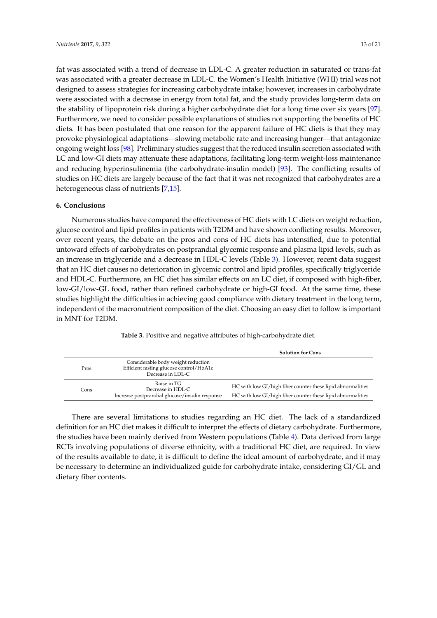fat was associated with a trend of decrease in LDL-C. A greater reduction in saturated or trans-fat was associated with a greater decrease in LDL-C. the Women's Health Initiative (WHI) trial was not designed to assess strategies for increasing carbohydrate intake; however, increases in carbohydrate were associated with a decrease in energy from total fat, and the study provides long-term data on the stability of lipoprotein risk during a higher carbohydrate diet for a long time over six years [\[97\]](#page-20-4). Furthermore, we need to consider possible explanations of studies not supporting the benefits of HC diets. It has been postulated that one reason for the apparent failure of HC diets is that they may provoke physiological adaptations—slowing metabolic rate and increasing hunger—that antagonize ongoing weight loss [\[98\]](#page-20-5). Preliminary studies suggest that the reduced insulin secretion associated with LC and low-GI diets may attenuate these adaptations, facilitating long-term weight-loss maintenance and reducing hyperinsulinemia (the carbohydrate-insulin model) [\[93\]](#page-20-0). The conflicting results of studies on HC diets are largely because of the fact that it was not recognized that carbohydrates are a heterogeneous class of nutrients [\[7,](#page-15-3)[15\]](#page-15-11).

# **6. Conclusions**

Numerous studies have compared the effectiveness of HC diets with LC diets on weight reduction, glucose control and lipid profiles in patients with T2DM and have shown conflicting results. Moreover, over recent years, the debate on the pros and cons of HC diets has intensified, due to potential untoward effects of carbohydrates on postprandial glycemic response and plasma lipid levels, such as an increase in triglyceride and a decrease in HDL-C levels (Table [3\)](#page-12-0). However, recent data suggest that an HC diet causes no deterioration in glycemic control and lipid profiles, specifically triglyceride and HDL-C. Furthermore, an HC diet has similar effects on an LC diet, if composed with high-fiber, low-GI/low-GL food, rather than refined carbohydrate or high-GI food. At the same time, these studies highlight the difficulties in achieving good compliance with dietary treatment in the long term, independent of the macronutrient composition of the diet. Choosing an easy diet to follow is important in MNT for T2DM.

| Table 3. Positive and negative attributes of high-carbohydrate diet. |  |  |  |
|----------------------------------------------------------------------|--|--|--|
|----------------------------------------------------------------------|--|--|--|

<span id="page-12-0"></span>

|      |                                                                                                    | <b>Solution for Cons</b>                                                                                                   |
|------|----------------------------------------------------------------------------------------------------|----------------------------------------------------------------------------------------------------------------------------|
| Pros | Considerable body weight reduction<br>Efficient fasting glucose control/HbA1c<br>Decrease in LDL-C |                                                                                                                            |
| Cons | Raise in TG<br>Decrease in HDL-C<br>Increase postprandial glucose/insulin response                 | HC with low GI/high fiber counter these lipid abnormalities<br>HC with low GI/high fiber counter these lipid abnormalities |

There are several limitations to studies regarding an HC diet. The lack of a standardized definition for an HC diet makes it difficult to interpret the effects of dietary carbohydrate. Furthermore, the studies have been mainly derived from Western populations (Table [4\)](#page-14-0). Data derived from large RCTs involving populations of diverse ethnicity, with a traditional HC diet, are required. In view of the results available to date, it is difficult to define the ideal amount of carbohydrate, and it may be necessary to determine an individualized guide for carbohydrate intake, considering GI/GL and dietary fiber contents.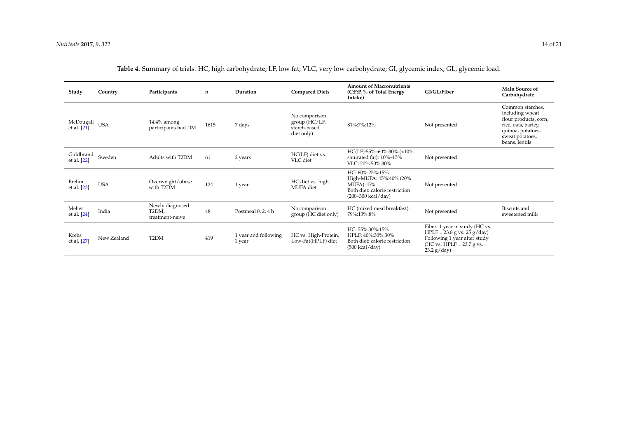| Study                    | Country     | Participants                                | $\boldsymbol{n}$ | Duration                       | <b>Compared Diets</b>                                        | <b>Amount of Macronutrients</b><br>(C:F:P, % of Total Energy<br>Intake)                                                     | GI/GL/Fiber                                                                                                                                                            | Main Source of<br>Carbohydrate                                                                                                                |
|--------------------------|-------------|---------------------------------------------|------------------|--------------------------------|--------------------------------------------------------------|-----------------------------------------------------------------------------------------------------------------------------|------------------------------------------------------------------------------------------------------------------------------------------------------------------------|-----------------------------------------------------------------------------------------------------------------------------------------------|
| McDougall<br>et al. [21] | <b>USA</b>  | $14.4\%$ among<br>participants had DM       | 1615             | 7 days                         | No comparison<br>group (HC/LF,<br>starch-based<br>diet only) | 81%:7%:12%                                                                                                                  | Not presented                                                                                                                                                          | Common starches.<br>including wheat<br>flour products, corn,<br>rice, oats, barley,<br>quinoa, potatoes,<br>sweat potatoes,<br>beans, lentils |
| Guldbrand<br>et al. [22] | Sweden      | Adults with T2DM                            | 61               | 2 years                        | HC(LF) diet vs.<br>VLC diet                                  | HC(LF):55%-60%:30% (<10%)<br>saturated fat): 10%-15%<br>VLC: 20%:50%:30%                                                    | Not presented                                                                                                                                                          |                                                                                                                                               |
| Brehm<br>et al. [23]     | <b>USA</b>  | Overweight/obese<br>with T2DM               | 124              | 1 year                         | HC diet vs. high<br>MUFA diet                                | HC: 60%:25%:15%<br>High-MUFA: 45%:40% (20%<br>MUFA):15%<br>Both diet: calorie restriction<br>$(200 - 300 \text{ kcal/day})$ | Not presented                                                                                                                                                          |                                                                                                                                               |
| Meher<br>et al. [24]     | India       | Newly diagnosed<br>T2DM,<br>treatment-naive | 48               | Postmeal 0, 2, 4 h             | No comparison<br>group (HC diet only)                        | HC (mixed meal breakfast):<br>79%:13%:8%                                                                                    | Not presented                                                                                                                                                          | Biscuits and<br>sweetened milk                                                                                                                |
| Krebs<br>et al. [27]     | New Zealand | T <sub>2</sub> DM                           | 419              | 1 year and following<br>1 year | HC vs. High-Protein,<br>Low-Fat(HPLF) diet                   | HC: 55%:30%:15%<br>HPLF: 40%:30%:30%<br>Both diet: calorie restriction<br>$(500 \text{ kcal/day})$                          | Fiber: 1 year in study (HC vs.<br>$HPLF = 23.8 g vs. 25 g/day)$<br>Following 1 year after study<br>(HC vs. $\text{HPLF} = 23.7 \text{ g} \text{ vs.}$<br>$23.2$ g/day) |                                                                                                                                               |

**Table 4.** Summary of trials. HC, high carbohydrate; LF, low fat; VLC, very low carbohydrate; GI, glycemic index; GL, glycemic load.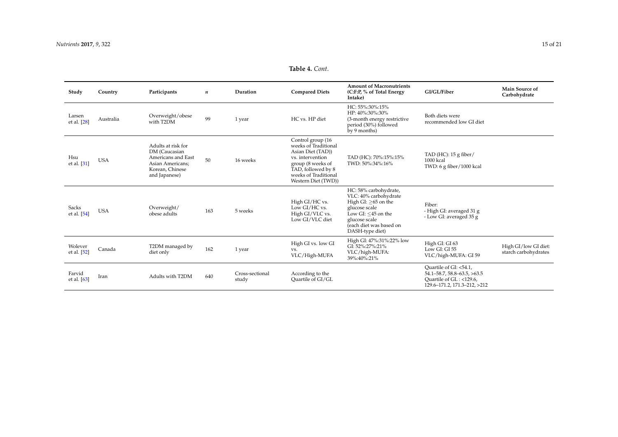# **Table 4.** *Cont*.

<span id="page-14-0"></span>

| Study                       | Country    | Participants                                                                                                      | n   | Duration                 | <b>Compared Diets</b>                                                                                                                                                        | <b>Amount of Macronutrients</b><br>(C:F:P, % of Total Energy<br>Intake)                                                                                                                 | GI/GL/Fiber                                                                                                      | <b>Main Source of</b><br>Carbohydrate        |
|-----------------------------|------------|-------------------------------------------------------------------------------------------------------------------|-----|--------------------------|------------------------------------------------------------------------------------------------------------------------------------------------------------------------------|-----------------------------------------------------------------------------------------------------------------------------------------------------------------------------------------|------------------------------------------------------------------------------------------------------------------|----------------------------------------------|
| Larsen<br>et al. [28]       | Australia  | Overweight/obese<br>with T2DM                                                                                     | 99  | 1 year                   | HC vs. HP diet                                                                                                                                                               | HC: 55%:30%:15%<br>HP: 40%:30%:30%<br>(3-month energy restrictive<br>period (30%) followed<br>by 9 months)                                                                              | Both diets were<br>recommended low GI diet                                                                       |                                              |
| Hsu<br>et al. [31]          | <b>USA</b> | Adults at risk for<br>DM (Caucasian<br>Americans and East<br>Asian Americans;<br>Korean, Chinese<br>and Japanese) | 50  | 16 weeks                 | Control group (16<br>weeks of Traditional<br>Asian Diet (TAD))<br>vs. intervention<br>group (8 weeks of<br>TAD, followed by 8<br>weeks of Traditional<br>Western Diet (TWD)) | TAD (HC): 70%:15%:15%<br>TWD: 50%:34%:16%                                                                                                                                               | TAD (HC): $15 \text{ g fiber}$<br>1000 kcal<br>TWD: 6 g fiber/1000 kcal                                          |                                              |
| <b>Sacks</b><br>et al. [54] | <b>USA</b> | Overweight/<br>obese adults                                                                                       | 163 | 5 weeks                  | High GI/HC vs.<br>Low GI/HC vs.<br>High GI/VLC vs.<br>Low GI/VLC diet                                                                                                        | HC: 58% carbohydrate,<br>VLC: 40% carbohydrate<br>High GI: $\geq 65$ on the<br>glucose scale<br>Low GI: $\leq$ 45 on the<br>glucose scale<br>(each diet was based on<br>DASH-type diet) | Fiber:<br>- High GI: averaged 31 g<br>- Low GI: averaged 35 g                                                    |                                              |
| Wolever<br>et al. [52]      | Canada     | T2DM managed by<br>diet only                                                                                      | 162 | 1 year                   | High GI vs. low GI<br>VS.<br>VLC/High-MUFA                                                                                                                                   | High GI: 47%:31%:22% low<br>GI: 52%:27%:21%<br>VLC/high-MUFA:<br>39%:40%:21%                                                                                                            | High GI: GI 63<br>Low GI: GI 55<br>VLC/high-MUFA: GI 59                                                          | High GI/low GI diet:<br>starch carbohydrates |
| Farvid<br>et al. [63]       | Iran       | Adults with T2DM                                                                                                  | 640 | Cross-sectional<br>study | According to the<br>Quartile of GI/GL                                                                                                                                        |                                                                                                                                                                                         | Quartile of GI: <54.1,<br>54.1-58.7, 58.8-63.5, >63.5<br>Quartile of GL: <129.6,<br>129.6-171.2, 171.3-212, >212 |                                              |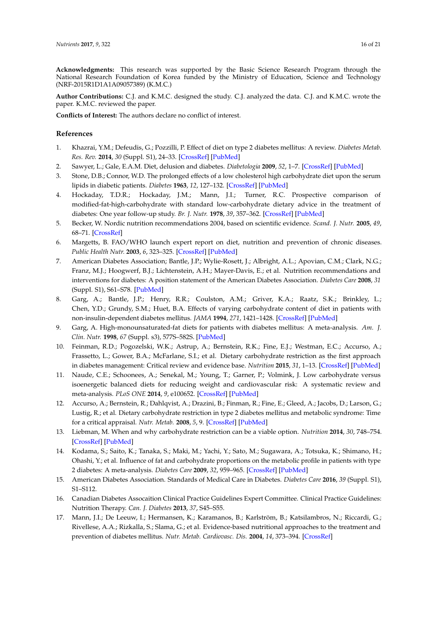**Acknowledgments:** This research was supported by the Basic Science Research Program through the National Research Foundation of Korea funded by the Ministry of Education, Science and Technology (NRF-2015R1D1A1A09057389) (K.M.C.)

**Author Contributions:** C.J. and K.M.C. designed the study. C.J. analyzed the data. C.J. and K.M.C. wrote the paper. K.M.C. reviewed the paper.

**Conflicts of Interest:** The authors declare no conflict of interest.

# **References**

- <span id="page-15-0"></span>1. Khazrai, Y.M.; Defeudis, G.; Pozzilli, P. Effect of diet on type 2 diabetes mellitus: A review. *Diabetes Metab. Res. Rev.* **2014**, *30* (Suppl. S1), 24–33. [\[CrossRef\]](http://dx.doi.org/10.1002/dmrr.2515) [\[PubMed\]](http://www.ncbi.nlm.nih.gov/pubmed/24352832)
- <span id="page-15-1"></span>2. Sawyer, L.; Gale, E.A.M. Diet, delusion and diabetes. *Diabetologia* **2009**, *52*, 1–7. [\[CrossRef\]](http://dx.doi.org/10.1007/s00125-008-1203-9) [\[PubMed\]](http://www.ncbi.nlm.nih.gov/pubmed/19018511)
- <span id="page-15-2"></span>3. Stone, D.B.; Connor, W.D. The prolonged effects of a low cholesterol high carbohydrate diet upon the serum lipids in diabetic patients. *Diabetes* **1963**, *12*, 127–132. [\[CrossRef\]](http://dx.doi.org/10.2337/diab.12.2.127) [\[PubMed\]](http://www.ncbi.nlm.nih.gov/pubmed/13984377)
- <span id="page-15-8"></span>4. Hockaday, T.D.R.; Hockaday, J.M.; Mann, J.I.; Turner, R.C. Prospective comparison of modified-fat-high-carbohydrate with standard low-carbohydrate dietary advice in the treatment of diabetes: One year follow-up study. *Br. J. Nutr.* **1978**, *39*, 357–362. [\[CrossRef\]](http://dx.doi.org/10.1079/BJN19780045) [\[PubMed\]](http://www.ncbi.nlm.nih.gov/pubmed/629924)
- 5. Becker, W. Nordic nutrition recommendations 2004, based on scientific evidence. *Scand. J. Nutr.* **2005**, *49*, 68–71. [\[CrossRef\]](http://dx.doi.org/10.1080/11026480510032025)
- 6. Margetts, B. FAO/WHO launch expert report on diet, nutrition and prevention of chronic diseases. *Public Health Nutr.* **2003**, *6*, 323–325. [\[CrossRef\]](http://dx.doi.org/10.1079/PHN2003481) [\[PubMed\]](http://www.ncbi.nlm.nih.gov/pubmed/12795818)
- <span id="page-15-3"></span>7. American Diabetes Association; Bantle, J.P.; Wylie-Rosett, J.; Albright, A.L.; Apovian, C.M.; Clark, N.G.; Franz, M.J.; Hoogwerf, B.J.; Lichtenstein, A.H.; Mayer-Davis, E.; et al. Nutrition recommendations and interventions for diabetes: A position statement of the American Diabetes Association. *Diabetes Care* **2008**, *31* (Suppl. S1), S61–S78. [\[PubMed\]](http://www.ncbi.nlm.nih.gov/pubmed/18165339)
- <span id="page-15-12"></span><span id="page-15-4"></span>8. Garg, A.; Bantle, J.P.; Henry, R.R.; Coulston, A.M.; Griver, K.A.; Raatz, S.K.; Brinkley, L.; Chen, Y.D.; Grundy, S.M.; Huet, B.A. Effects of varying carbohydrate content of diet in patients with non-insulin-dependent diabetes mellitus. *JAMA* **1994**, *271*, 1421–1428. [\[CrossRef\]](http://dx.doi.org/10.1001/jama.1994.03510420053034) [\[PubMed\]](http://www.ncbi.nlm.nih.gov/pubmed/7848401)
- <span id="page-15-14"></span><span id="page-15-13"></span><span id="page-15-5"></span>9. Garg, A. High-monounsaturated-fat diets for patients with diabetes mellitus: A meta-analysis. *Am. J. Clin. Nutr.* **1998**, *67* (Suppl. s3), 577S–582S. [\[PubMed\]](http://www.ncbi.nlm.nih.gov/pubmed/28179225)
- <span id="page-15-6"></span>10. Feinman, R.D.; Pogozelski, W.K.; Astrup, A.; Bernstein, R.K.; Fine, E.J.; Westman, E.C.; Accurso, A.; Frassetto, L.; Gower, B.A.; McFarlane, S.I.; et al. Dietary carbohydrate restriction as the first approach in diabetes management: Critical review and evidence base. *Nutrition* **2015**, *31*, 1–13. [\[CrossRef\]](http://dx.doi.org/10.1016/j.nut.2014.06.011) [\[PubMed\]](http://www.ncbi.nlm.nih.gov/pubmed/25287761)
- <span id="page-15-9"></span>11. Naude, C.E.; Schoonees, A.; Senekal, M.; Young, T.; Garner, P.; Volmink, J. Low carbohydrate versus isoenergetic balanced diets for reducing weight and cardiovascular risk: A systematic review and meta-analysis. *PLoS ONE* **2014**, *9*, e100652. [\[CrossRef\]](http://dx.doi.org/10.1371/journal.pone.0100652) [\[PubMed\]](http://www.ncbi.nlm.nih.gov/pubmed/25007189)
- <span id="page-15-10"></span>12. Accurso, A.; Bernstein, R.; Dahlqvist, A.; Drazini, B.; Finman, R.; Fine, E.; Gleed, A.; Jacobs, D.; Larson, G.; Lustig, R.; et al. Dietary carbohydrate restriction in type 2 diabetes mellitus and metabolic syndrome: Time for a critical appraisal. *Nutr. Metab.* **2008**, *5*, 9. [\[CrossRef\]](http://dx.doi.org/10.1186/1743-7075-5-9) [\[PubMed\]](http://www.ncbi.nlm.nih.gov/pubmed/18397522)
- 13. Liebman, M. When and why carbohydrate restriction can be a viable option. *Nutrition* **2014**, *30*, 748–754. [\[CrossRef\]](http://dx.doi.org/10.1016/j.nut.2013.11.021) [\[PubMed\]](http://www.ncbi.nlm.nih.gov/pubmed/24984988)
- <span id="page-15-7"></span>14. Kodama, S.; Saito, K.; Tanaka, S.; Maki, M.; Yachi, Y.; Sato, M.; Sugawara, A.; Totsuka, K.; Shimano, H.; Ohashi, Y.; et al. Influence of fat and carbohydrate proportions on the metabolic profile in patients with type 2 diabetes: A meta-analysis. *Diabetes Care* **2009**, *32*, 959–965. [\[CrossRef\]](http://dx.doi.org/10.2337/dc08-1716) [\[PubMed\]](http://www.ncbi.nlm.nih.gov/pubmed/19407076)
- <span id="page-15-11"></span>15. American Diabetes Association. Standards of Medical Care in Diabetes. *Diabetes Care* **2016**, *39* (Suppl. S1), S1–S112.
- 16. Canadian Diabetes Assocaition Clinical Practice Guidelines Expert Committee. Clinical Practice Guidelines: Nutrition Therapy. *Can. J. Diabetes* **2013**, *37*, S45–S55.
- 17. Mann, J.I.; De Leeuw, I.; Hermansen, K.; Karamanos, B.; Karlström, B.; Katsilambros, N.; Riccardi, G.; Rivellese, A.A.; Rizkalla, S.; Slama, G.; et al. Evidence-based nutritional approaches to the treatment and prevention of diabetes mellitus. *Nutr. Metab. Cardiovasc. Dis.* **2004**, *14*, 373–394. [\[CrossRef\]](http://dx.doi.org/10.1016/S0939-4753(04)80028-0)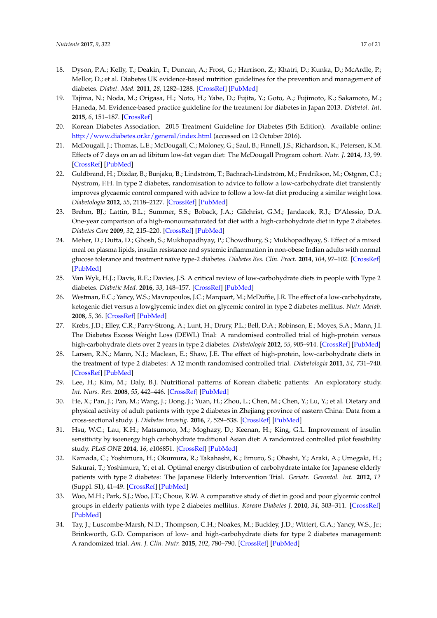- <span id="page-16-20"></span><span id="page-16-19"></span><span id="page-16-18"></span><span id="page-16-17"></span><span id="page-16-2"></span><span id="page-16-1"></span>18. Dyson, P.A.; Kelly, T.; Deakin, T.; Duncan, A.; Frost, G.; Harrison, Z.; Khatri, D.; Kunka, D.; McArdle, P.; Mellor, D.; et al. Diabetes UK evidence-based nutrition guidelines for the prevention and management of diabetes. *Diabet. Med.* **2011**, *28*, 1282–1288. [\[CrossRef\]](http://dx.doi.org/10.1111/j.1464-5491.2011.03371.x) [\[PubMed\]](http://www.ncbi.nlm.nih.gov/pubmed/21699560)
- 19. Tajima, N.; Noda, M.; Origasa, H.; Noto, H.; Yabe, D.; Fujita, Y.; Goto, A.; Fujimoto, K.; Sakamoto, M.; Haneda, M. Evidence-based practice guideline for the treatment for diabetes in Japan 2013. *Diabetol. Int.* **2015**, *6*, 151–187. [\[CrossRef\]](http://dx.doi.org/10.1007/s13340-015-0206-2)
- <span id="page-16-0"></span>20. Korean Diabetes Association. 2015 Treatment Guideline for Diabetes (5th Edition). Available online: <http://www.diabetes.or.kr/general/index.html> (accessed on 12 October 2016).
- <span id="page-16-3"></span>21. McDougall, J.; Thomas, L.E.; McDougall, C.; Moloney, G.; Saul, B.; Finnell, J.S.; Richardson, K.; Petersen, K.M. Effects of 7 days on an ad libitum low-fat vegan diet: The McDougall Program cohort. *Nutr. J.* **2014**, *13*, 99. [\[CrossRef\]](http://dx.doi.org/10.1186/1475-2891-13-99) [\[PubMed\]](http://www.ncbi.nlm.nih.gov/pubmed/25311617)
- <span id="page-16-21"></span><span id="page-16-4"></span>22. Guldbrand, H.; Dizdar, B.; Bunjaku, B.; Lindström, T.; Bachrach-Lindström, M.; Fredrikson, M.; Ostgren, C.J.; Nystrom, F.H. In type 2 diabetes, randomisation to advice to follow a low-carbohydrate diet transiently improves glycaemic control compared with advice to follow a low-fat diet producing a similar weight loss. *Diabetologia* **2012**, *55*, 2118–2127. [\[CrossRef\]](http://dx.doi.org/10.1007/s00125-012-2567-4) [\[PubMed\]](http://www.ncbi.nlm.nih.gov/pubmed/22562179)
- <span id="page-16-5"></span>23. Brehm, BJ.; Lattin, B.L.; Summer, S.S.; Boback, J.A.; Gilchrist, G.M.; Jandacek, R.J.; D'Alessio, D.A. One-year comparison of a high-monounsaturated fat diet with a high-carbohydrate diet in type 2 diabetes. *Diabetes Care* **2009**, *32*, 215–220. [\[CrossRef\]](http://dx.doi.org/10.2337/dc08-0687) [\[PubMed\]](http://www.ncbi.nlm.nih.gov/pubmed/18957534)
- <span id="page-16-22"></span><span id="page-16-6"></span>24. Meher, D.; Dutta, D.; Ghosh, S.; Mukhopadhyay, P.; Chowdhury, S.; Mukhopadhyay, S. Effect of a mixed meal on plasma lipids, insulin resistance and systemic inflammation in non-obese Indian adults with normal glucose tolerance and treatment naïve type-2 diabetes. *Diabetes Res. Clin. Pract.* **2014**, *104*, 97–102. [\[CrossRef\]](http://dx.doi.org/10.1016/j.diabres.2013.12.047) [\[PubMed\]](http://www.ncbi.nlm.nih.gov/pubmed/24461623)
- <span id="page-16-7"></span>25. Van Wyk, H.J.; Davis, R.E.; Davies, J.S. A critical review of low-carbohydrate diets in people with Type 2 diabetes. *Diabetic Med.* **2016**, *33*, 148–157. [\[CrossRef\]](http://dx.doi.org/10.1111/dme.12964) [\[PubMed\]](http://www.ncbi.nlm.nih.gov/pubmed/26413954)
- <span id="page-16-8"></span>26. Westman, E.C.; Yancy, W.S.; Mavropoulos, J.C.; Marquart, M.; McDuffie, J.R. The effect of a low-carbohydrate, ketogenic diet versus a lowglycemic index diet on glycemic control in type 2 diabetes mellitus. *Nutr. Metab.* **2008**, *5*, 36. [\[CrossRef\]](http://dx.doi.org/10.1186/1743-7075-5-36) [\[PubMed\]](http://www.ncbi.nlm.nih.gov/pubmed/19099589)
- <span id="page-16-9"></span>27. Krebs, J.D.; Elley, C.R.; Parry-Strong, A.; Lunt, H.; Drury, P.L.; Bell, D.A.; Robinson, E.; Moyes, S.A.; Mann, J.I. The Diabetes Excess Weight Loss (DEWL) Trial: A randomised controlled trial of high-protein versus high-carbohydrate diets over 2 years in type 2 diabetes. *Diabetologia* **2012**, *55*, 905–914. [\[CrossRef\]](http://dx.doi.org/10.1007/s00125-012-2461-0) [\[PubMed\]](http://www.ncbi.nlm.nih.gov/pubmed/22286528)
- <span id="page-16-10"></span>28. Larsen, R.N.; Mann, N.J.; Maclean, E.; Shaw, J.E. The effect of high-protein, low-carbohydrate diets in the treatment of type 2 diabetes: A 12 month randomised controlled trial. *Diabetologia* **2011**, *54*, 731–740. [\[CrossRef\]](http://dx.doi.org/10.1007/s00125-010-2027-y) [\[PubMed\]](http://www.ncbi.nlm.nih.gov/pubmed/21246185)
- <span id="page-16-11"></span>29. Lee, H.; Kim, M.; Daly, B.J. Nutritional patterns of Korean diabetic patients: An exploratory study. *Int. Nurs. Rev.* **2008**, *55*, 442–446. [\[CrossRef\]](http://dx.doi.org/10.1111/j.1466-7657.2008.00656.x) [\[PubMed\]](http://www.ncbi.nlm.nih.gov/pubmed/19146556)
- <span id="page-16-12"></span>30. He, X.; Pan, J.; Pan, M.; Wang, J.; Dong, J.; Yuan, H.; Zhou, L.; Chen, M.; Chen, Y.; Lu, Y.; et al. Dietary and physical activity of adult patients with type 2 diabetes in Zhejiang province of eastern China: Data from a cross-sectional study. *J. Diabetes Investig.* **2016**, *7*, 529–538. [\[CrossRef\]](http://dx.doi.org/10.1111/jdi.12458) [\[PubMed\]](http://www.ncbi.nlm.nih.gov/pubmed/27180625)
- <span id="page-16-13"></span>31. Hsu, W.C.; Lau, K.H.; Matsumoto, M.; Moghazy, D.; Keenan, H.; King, G.L. Improvement of insulin sensitivity by isoenergy high carbohydrate traditional Asian diet: A randomized controlled pilot feasibility study. *PLoS ONE* **2014**, *16*, e106851. [\[CrossRef\]](http://dx.doi.org/10.1371/journal.pone.0106851) [\[PubMed\]](http://www.ncbi.nlm.nih.gov/pubmed/25226279)
- <span id="page-16-14"></span>32. Kamada, C.; Yoshimura, H.; Okumura, R.; Takahashi, K.; Iimuro, S.; Ohashi, Y.; Araki, A.; Umegaki, H.; Sakurai, T.; Yoshimura, Y.; et al. Optimal energy distribution of carbohydrate intake for Japanese elderly patients with type 2 diabetes: The Japanese Elderly Intervention Trial. *Geriatr. Gerontol. Int.* **2012**, *12* (Suppl. S1), 41–49. [\[CrossRef\]](http://dx.doi.org/10.1111/j.1447-0594.2011.00811.x) [\[PubMed\]](http://www.ncbi.nlm.nih.gov/pubmed/22435939)
- <span id="page-16-15"></span>33. Woo, M.H.; Park, S.J.; Woo, J.T.; Choue, R.W. A comparative study of diet in good and poor glycemic control groups in elderly patients with type 2 diabetes mellitus. *Korean Diabetes J.* **2010**, *34*, 303–311. [\[CrossRef\]](http://dx.doi.org/10.4093/kdj.2010.34.5.303) [\[PubMed\]](http://www.ncbi.nlm.nih.gov/pubmed/21076578)
- <span id="page-16-16"></span>34. Tay, J.; Luscombe-Marsh, N.D.; Thompson, C.H.; Noakes, M.; Buckley, J.D.; Wittert, G.A.; Yancy, W.S., Jr.; Brinkworth, G.D. Comparison of low- and high-carbohydrate diets for type 2 diabetes management: A randomized trial. *Am. J. Clin. Nutr.* **2015**, *102*, 780–790. [\[CrossRef\]](http://dx.doi.org/10.3945/ajcn.115.112581) [\[PubMed\]](http://www.ncbi.nlm.nih.gov/pubmed/26224300)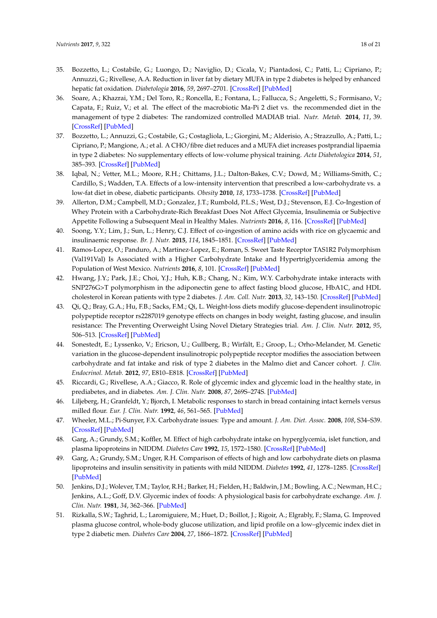- <span id="page-17-0"></span>35. Bozzetto, L.; Costabile, G.; Luongo, D.; Naviglio, D.; Cicala, V.; Piantadosi, C.; Patti, L.; Cipriano, P.; Annuzzi, G.; Rivellese, A.A. Reduction in liver fat by dietary MUFA in type 2 diabetes is helped by enhanced hepatic fat oxidation. *Diabetologia* **2016**, *59*, 2697–2701. [\[CrossRef\]](http://dx.doi.org/10.1007/s00125-016-4110-5) [\[PubMed\]](http://www.ncbi.nlm.nih.gov/pubmed/27650287)
- <span id="page-17-1"></span>36. Soare, A.; Khazrai, Y.M.; Del Toro, R.; Roncella, E.; Fontana, L.; Fallucca, S.; Angeletti, S.; Formisano, V.; Capata, F.; Ruiz, V.; et al. The effect of the macrobiotic Ma-Pi 2 diet vs. the recommended diet in the management of type 2 diabetes: The randomized controlled MADIAB trial. *Nutr. Metab.* **2014**, *11*, 39. [\[CrossRef\]](http://dx.doi.org/10.1186/1743-7075-11-39) [\[PubMed\]](http://www.ncbi.nlm.nih.gov/pubmed/25302069)
- <span id="page-17-2"></span>37. Bozzetto, L.; Annuzzi, G.; Costabile, G.; Costagliola, L.; Giorgini, M.; Alderisio, A.; Strazzullo, A.; Patti, L.; Cipriano, P.; Mangione, A.; et al. A CHO/fibre diet reduces and a MUFA diet increases postprandial lipaemia in type 2 diabetes: No supplementary effects of low-volume physical training. *Acta Diabetologica* **2014**, *51*, 385–393. [\[CrossRef\]](http://dx.doi.org/10.1007/s00592-013-0522-6) [\[PubMed\]](http://www.ncbi.nlm.nih.gov/pubmed/24132660)
- <span id="page-17-3"></span>38. Iqbal, N.; Vetter, M.L.; Moore, R.H.; Chittams, J.L.; Dalton-Bakes, C.V.; Dowd, M.; Williams-Smith, C.; Cardillo, S.; Wadden, T.A. Effects of a low-intensity intervention that prescribed a low-carbohydrate vs. a low-fat diet in obese, diabetic participants. *Obesity* **2010**, *18*, 1733–1738. [\[CrossRef\]](http://dx.doi.org/10.1038/oby.2009.460) [\[PubMed\]](http://www.ncbi.nlm.nih.gov/pubmed/20019677)
- <span id="page-17-4"></span>39. Allerton, D.M.; Campbell, M.D.; Gonzalez, J.T.; Rumbold, P.L.S.; West, D.J.; Stevenson, E.J. Co-Ingestion of Whey Protein with a Carbohydrate-Rich Breakfast Does Not Affect Glycemia, Insulinemia or Subjective Appetite Following a Subsequent Meal in Healthy Males. *Nutrients* **2016**, *8*, 116. [\[CrossRef\]](http://dx.doi.org/10.3390/nu8030116) [\[PubMed\]](http://www.ncbi.nlm.nih.gov/pubmed/26927166)
- <span id="page-17-5"></span>40. Soong, Y.Y.; Lim, J.; Sun, L.; Henry, C.J. Effect of co-ingestion of amino acids with rice on glycaemic and insulinaemic response. *Br. J. Nutr.* **2015**, *114*, 1845–1851. [\[CrossRef\]](http://dx.doi.org/10.1017/S0007114515003645) [\[PubMed\]](http://www.ncbi.nlm.nih.gov/pubmed/26420496)
- <span id="page-17-6"></span>41. Ramos-Lopez, O.; Panduro, A.; Martinez-Lopez, E.; Roman, S. Sweet Taste Receptor TAS1R2 Polymorphism (Val191Val) Is Associated with a Higher Carbohydrate Intake and Hypertriglyceridemia among the Population of West Mexico. *Nutrients* **2016**, *8*, 101. [\[CrossRef\]](http://dx.doi.org/10.3390/nu8020101) [\[PubMed\]](http://www.ncbi.nlm.nih.gov/pubmed/26907331)
- <span id="page-17-7"></span>42. Hwang, J.Y.; Park, J.E.; Choi, Y.J.; Huh, K.B.; Chang, N.; Kim, W.Y. Carbohydrate intake interacts with SNP276G>T polymorphism in the adiponectin gene to affect fasting blood glucose, HbA1C, and HDL cholesterol in Korean patients with type 2 diabetes. *J. Am. Coll. Nutr.* **2013**, *32*, 143–150. [\[CrossRef\]](http://dx.doi.org/10.1080/07315724.2013.791795) [\[PubMed\]](http://www.ncbi.nlm.nih.gov/pubmed/23885987)
- <span id="page-17-8"></span>43. Qi, Q.; Bray, G.A.; Hu, F.B.; Sacks, F.M.; Qi, L. Weight-loss diets modify glucose-dependent insulinotropic polypeptide receptor rs2287019 genotype effects on changes in body weight, fasting glucose, and insulin resistance: The Preventing Overweight Using Novel Dietary Strategies trial. *Am. J. Clin. Nutr.* **2012**, *95*, 506–513. [\[CrossRef\]](http://dx.doi.org/10.3945/ajcn.111.025270) [\[PubMed\]](http://www.ncbi.nlm.nih.gov/pubmed/22237064)
- <span id="page-17-9"></span>44. Sonestedt, E.; Lyssenko, V.; Ericson, U.; Gullberg, B.; Wirfält, E.; Groop, L.; Orho-Melander, M. Genetic variation in the glucose-dependent insulinotropic polypeptide receptor modifies the association between carbohydrate and fat intake and risk of type 2 diabetes in the Malmo diet and Cancer cohort. *J. Clin. Endocrinol. Metab.* **2012**, *97*, E810–E818. [\[CrossRef\]](http://dx.doi.org/10.1210/jc.2011-2444) [\[PubMed\]](http://www.ncbi.nlm.nih.gov/pubmed/22399504)
- <span id="page-17-10"></span>45. Riccardi, G.; Rivellese, A.A.; Giacco, R. Role of glycemic index and glycemic load in the healthy state, in prediabetes, and in diabetes. *Am. J. Clin. Nutr.* **2008**, *87*, 269S–274S. [\[PubMed\]](http://www.ncbi.nlm.nih.gov/pubmed/18175767)
- <span id="page-17-11"></span>46. Liljeberg, H.; Granfeldt, Y.; Bjorch, I. Metabolic responses to starch in bread containing intact kernels versus milled flour. *Eur. J. Clin. Nutr.* **1992**, *46*, 561–565. [\[PubMed\]](http://www.ncbi.nlm.nih.gov/pubmed/1396475)
- <span id="page-17-12"></span>47. Wheeler, M.L.; Pi-Sunyer, F.X. Carbohydrate issues: Type and amount. *J. Am. Diet. Assoc.* **2008**, *108*, S34–S39. [\[CrossRef\]](http://dx.doi.org/10.1016/j.jada.2008.01.024) [\[PubMed\]](http://www.ncbi.nlm.nih.gov/pubmed/18358253)
- <span id="page-17-13"></span>48. Garg, A.; Grundy, S.M.; Koffler, M. Effect of high carbohydrate intake on hyperglycemia, islet function, and plasma lipoproteins in NIDDM. *Diabetes Care* **1992**, *15*, 1572–1580. [\[CrossRef\]](http://dx.doi.org/10.2337/diacare.15.11.1572) [\[PubMed\]](http://www.ncbi.nlm.nih.gov/pubmed/1468287)
- <span id="page-17-14"></span>49. Garg, A.; Grundy, S.M.; Unger, R.H. Comparison of effects of high and low carbohydrate diets on plasma lipoproteins and insulin sensitivity in patients with mild NIDDM. *Diabetes* **1992**, *41*, 1278–1285. [\[CrossRef\]](http://dx.doi.org/10.2337/diab.41.10.1278) [\[PubMed\]](http://www.ncbi.nlm.nih.gov/pubmed/1397701)
- <span id="page-17-15"></span>50. Jenkins, D.J.; Wolever, T.M.; Taylor, R.H.; Barker, H.; Fielden, H.; Baldwin, J.M.; Bowling, A.C.; Newman, H.C.; Jenkins, A.L.; Goff, D.V. Glycemic index of foods: A physiological basis for carbohydrate exchange. *Am. J. Clin. Nutr.* **1981**, *34*, 362–366. [\[PubMed\]](http://www.ncbi.nlm.nih.gov/pubmed/6259925)
- <span id="page-17-16"></span>51. Rizkalla, S.W.; Taghrid, L.; Laromiguiere, M.; Huet, D.; Boillot, J.; Rigoir, A.; Elgrably, F.; Slama, G. Improved plasma glucose control, whole-body glucose utilization, and lipid profile on a low–glycemic index diet in type 2 diabetic men. *Diabetes Care* **2004**, *27*, 1866–1872. [\[CrossRef\]](http://dx.doi.org/10.2337/diacare.27.8.1866) [\[PubMed\]](http://www.ncbi.nlm.nih.gov/pubmed/15277409)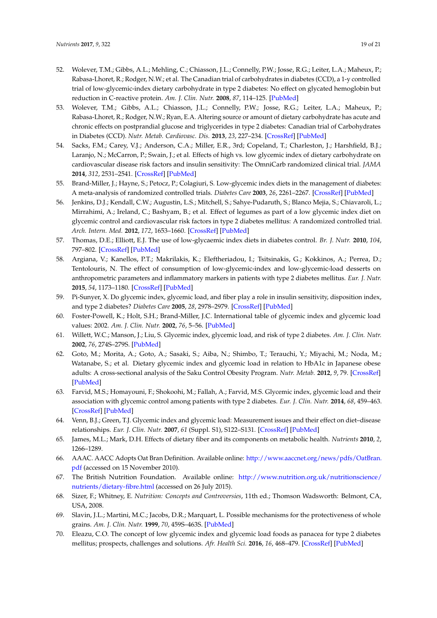- <span id="page-18-20"></span><span id="page-18-19"></span><span id="page-18-5"></span>52. Wolever, T.M.; Gibbs, A.L.; Mehling, C.; Chiasson, J.L.; Connelly, P.W.; Josse, R.G.; Leiter, L.A.; Maheux, P.; Rabasa-Lhoret, R.; Rodger, N.W.; et al. The Canadian trial of carbohydrates in diabetes (CCD), a 1-y controlled trial of low-glycemic-index dietary carbohydrate in type 2 diabetes: No effect on glycated hemoglobin but reduction in C-reactive protein. *Am. J. Clin. Nutr.* **2008**, *87*, 114–125. [\[PubMed\]](http://www.ncbi.nlm.nih.gov/pubmed/18175744)
- <span id="page-18-0"></span>53. Wolever, T.M.; Gibbs, A.L.; Chiasson, J.L.; Connelly, P.W.; Josse, R.G.; Leiter, L.A.; Maheux, P.; Rabasa-Lhoret, R.; Rodger, N.W.; Ryan, E.A. Altering source or amount of dietary carbohydrate has acute and chronic effects on postprandial glucose and triglycerides in type 2 diabetes: Canadian trial of Carbohydrates in Diabetes (CCD). *Nutr. Metab. Cardiovasc. Dis.* **2013**, *23*, 227–234. [\[CrossRef\]](http://dx.doi.org/10.1016/j.numecd.2011.12.011) [\[PubMed\]](http://www.ncbi.nlm.nih.gov/pubmed/22397878)
- <span id="page-18-1"></span>54. Sacks, F.M.; Carey, V.J.; Anderson, C.A.; Miller, E.R., 3rd; Copeland, T.; Charleston, J.; Harshfield, B.J.; Laranjo, N.; McCarron, P.; Swain, J.; et al. Effects of high vs. low glycemic index of dietary carbohydrate on cardiovascular disease risk factors and insulin sensitivity: The OmniCarb randomized clinical trial. *JAMA* **2014**, *312*, 2531–2541. [\[CrossRef\]](http://dx.doi.org/10.1001/jama.2014.16658) [\[PubMed\]](http://www.ncbi.nlm.nih.gov/pubmed/25514303)
- <span id="page-18-2"></span>55. Brand-Miller, J.; Hayne, S.; Petocz, P.; Colagiuri, S. Low-glycemic index diets in the management of diabetes: A meta-analysis of randomized controlled trials. *Diabetes Care* **2003**, *26*, 2261–2267. [\[CrossRef\]](http://dx.doi.org/10.2337/diacare.26.8.2261) [\[PubMed\]](http://www.ncbi.nlm.nih.gov/pubmed/12882846)
- <span id="page-18-21"></span><span id="page-18-3"></span>56. Jenkins, D.J.; Kendall, C.W.; Augustin, L.S.; Mitchell, S.; Sahye-Pudaruth, S.; Blanco Mejia, S.; Chiavaroli, L.; Mirrahimi, A.; Ireland, C.; Bashyam, B.; et al. Effect of legumes as part of a low glycemic index diet on glycemic control and cardiovascular risk factors in type 2 diabetes mellitus: A randomized controlled trial. *Arch. Intern. Med.* **2012**, *172*, 1653–1660. [\[CrossRef\]](http://dx.doi.org/10.1001/2013.jamainternmed.70) [\[PubMed\]](http://www.ncbi.nlm.nih.gov/pubmed/23089999)
- <span id="page-18-4"></span>57. Thomas, D.E.; Elliott, E.J. The use of low-glycaemic index diets in diabetes control. *Br. J. Nutr.* **2010**, *104*, 797–802. [\[CrossRef\]](http://dx.doi.org/10.1017/S0007114510001534) [\[PubMed\]](http://www.ncbi.nlm.nih.gov/pubmed/20420752)
- <span id="page-18-6"></span>58. Argiana, V.; Kanellos, P.T.; Makrilakis, K.; Eleftheriadou, I.; Tsitsinakis, G.; Kokkinos, A.; Perrea, D.; Tentolouris, N. The effect of consumption of low-glycemic-index and low-glycemic-load desserts on anthropometric parameters and inflammatory markers in patients with type 2 diabetes mellitus. *Eur. J. Nutr.* **2015**, *54*, 1173–1180. [\[CrossRef\]](http://dx.doi.org/10.1007/s00394-014-0795-8) [\[PubMed\]](http://www.ncbi.nlm.nih.gov/pubmed/25475658)
- <span id="page-18-7"></span>59. Pi-Sunyer, X. Do glycemic index, glycemic load, and fiber play a role in insulin sensitivity, disposition index, and type 2 diabetes? *Diabetes Care* **2005**, *28*, 2978–2979. [\[CrossRef\]](http://dx.doi.org/10.2337/diacare.28.12.2978) [\[PubMed\]](http://www.ncbi.nlm.nih.gov/pubmed/16306566)
- <span id="page-18-8"></span>60. Foster-Powell, K.; Holt, S.H.; Brand-Miller, J.C. International table of glycemic index and glycemic load values: 2002. *Am. J. Clin. Nutr.* **2002**, *76*, 5–56. [\[PubMed\]](http://www.ncbi.nlm.nih.gov/pubmed/12081815)
- <span id="page-18-9"></span>61. Willett, W.C.; Manson, J.; Liu, S. Glycemic index, glycemic load, and risk of type 2 diabetes. *Am. J. Clin. Nutr.* **2002**, *76*, 274S–279S. [\[PubMed\]](http://www.ncbi.nlm.nih.gov/pubmed/12081851)
- <span id="page-18-10"></span>62. Goto, M.; Morita, A.; Goto, A.; Sasaki, S.; Aiba, N.; Shimbo, T.; Terauchi, Y.; Miyachi, M.; Noda, M.; Watanabe, S.; et al. Dietary glycemic index and glycemic load in relation to HbA1c in Japanese obese adults: A cross-sectional analysis of the Saku Control Obesity Program. *Nutr. Metab.* **2012**, *9*, 79. [\[CrossRef\]](http://dx.doi.org/10.1186/1743-7075-9-79) [\[PubMed\]](http://www.ncbi.nlm.nih.gov/pubmed/22963077)
- <span id="page-18-11"></span>63. Farvid, M.S.; Homayouni, F.; Shokoohi, M.; Fallah, A.; Farvid, M.S. Glycemic index, glycemic load and their association with glycemic control among patients with type 2 diabetes. *Eur. J. Clin. Nutr.* **2014**, *68*, 459–463. [\[CrossRef\]](http://dx.doi.org/10.1038/ejcn.2013.288) [\[PubMed\]](http://www.ncbi.nlm.nih.gov/pubmed/24549029)
- <span id="page-18-12"></span>64. Venn, B.J.; Green, T.J. Glycemic index and glycemic load: Measurement issues and their effect on diet–disease relationships. *Eur. J. Clin. Nutr.* **2007**, *61* (Suppl. S1), S122–S131. [\[CrossRef\]](http://dx.doi.org/10.1038/sj.ejcn.1602942) [\[PubMed\]](http://www.ncbi.nlm.nih.gov/pubmed/17992183)
- <span id="page-18-13"></span>65. James, M.L.; Mark, D.H. Effects of dietary fiber and its components on metabolic health. *Nutrients* **2010**, *2*, 1266–1289.
- <span id="page-18-14"></span>66. AAAC. AACC Adopts Oat Bran Definition. Available online: [http://www.aaccnet.org/news/pdfs/OatBran.](http://www.aaccnet.org/news/pdfs/OatBran.pdf) [pdf](http://www.aaccnet.org/news/pdfs/OatBran.pdf) (accessed on 15 November 2010).
- <span id="page-18-15"></span>67. The British Nutrition Foundation. Available online: [http://www.nutrition.org.uk/nutritionscience/](http://www.nutrition.org.uk/nutritionscience/nutrients/dietary-fibre.html) [nutrients/dietary-fibre.html](http://www.nutrition.org.uk/nutritionscience/nutrients/dietary-fibre.html) (accessed on 26 July 2015).
- <span id="page-18-16"></span>68. Sizer, F.; Whitney, E. *Nutrition: Concepts and Controversies*, 11th ed.; Thomson Wadsworth: Belmont, CA, USA, 2008.
- <span id="page-18-17"></span>69. Slavin, J.L.; Martini, M.C.; Jacobs, D.R.; Marquart, L. Possible mechanisms for the protectiveness of whole grains. *Am. J. Clin. Nutr.* **1999**, *70*, 459S–463S. [\[PubMed\]](http://www.ncbi.nlm.nih.gov/pubmed/10479218)
- <span id="page-18-18"></span>70. Eleazu, C.O. The concept of low glycemic index and glycemic load foods as panacea for type 2 diabetes mellitus; prospects, challenges and solutions. *Afr. Health Sci.* **2016**, *16*, 468–479. [\[CrossRef\]](http://dx.doi.org/10.4314/ahs.v16i2.15) [\[PubMed\]](http://www.ncbi.nlm.nih.gov/pubmed/27605962)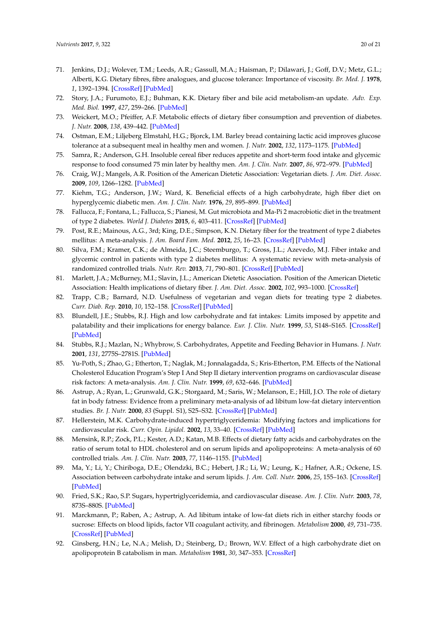- <span id="page-19-0"></span>71. Jenkins, D.J.; Wolever, T.M.; Leeds, A.R.; Gassull, M.A.; Haisman, P.; Dilawari, J.; Goff, D.V.; Metz, G.L.; Alberti, K.G. Dietary fibres, fibre analogues, and glucose tolerance: Importance of viscosity. *Br. Med. J.* **1978**, *1*, 1392–1394. [\[CrossRef\]](http://dx.doi.org/10.1136/bmj.1.6124.1392) [\[PubMed\]](http://www.ncbi.nlm.nih.gov/pubmed/647304)
- <span id="page-19-1"></span>72. Story, J.A.; Furumoto, E.J.; Buhman, K.K. Dietary fiber and bile acid metabolism-an update. *Adv. Exp. Med. Biol.* **1997**, *427*, 259–266. [\[PubMed\]](http://www.ncbi.nlm.nih.gov/pubmed/9361851)
- <span id="page-19-2"></span>73. Weickert, M.O.; Pfeiffer, A.F. Metabolic effects of dietary fiber consumption and prevention of diabetes. *J. Nutr.* **2008**, *138*, 439–442. [\[PubMed\]](http://www.ncbi.nlm.nih.gov/pubmed/18287346)
- <span id="page-19-3"></span>74. Ostman, E.M.; Liljeberg Elmstahl, H.G.; Bjorck, I.M. Barley bread containing lactic acid improves glucose tolerance at a subsequent meal in healthy men and women. *J. Nutr.* **2002**, *132*, 1173–1175. [\[PubMed\]](http://www.ncbi.nlm.nih.gov/pubmed/12042429)
- <span id="page-19-4"></span>75. Samra, R.; Anderson, G.H. Insoluble cereal fiber reduces appetite and short-term food intake and glycemic response to food consumed 75 min later by healthy men. *Am. J. Clin. Nutr.* **2007**, *86*, 972–979. [\[PubMed\]](http://www.ncbi.nlm.nih.gov/pubmed/17921373)
- <span id="page-19-5"></span>76. Craig, W.J.; Mangels, A.R. Position of the American Dietetic Association: Vegetarian diets. *J. Am. Diet. Assoc.* **2009**, *109*, 1266–1282. [\[PubMed\]](http://www.ncbi.nlm.nih.gov/pubmed/19562864)
- <span id="page-19-6"></span>77. Kiehm, T.G.; Anderson, J.W.; Ward, K. Beneficial effects of a high carbohydrate, high fiber diet on hyperglycemic diabetic men. *Am. J. Clin. Nutr.* **1976**, *29*, 895–899. [\[PubMed\]](http://www.ncbi.nlm.nih.gov/pubmed/941870)
- <span id="page-19-7"></span>78. Fallucca, F.; Fontana, L.; Fallucca, S.; Pianesi, M. Gut microbiota and Ma-Pi 2 macrobiotic diet in the treatment of type 2 diabetes. *World J. Diabetes* **2015**, *6*, 403–411. [\[CrossRef\]](http://dx.doi.org/10.4239/wjd.v6.i3.403) [\[PubMed\]](http://www.ncbi.nlm.nih.gov/pubmed/25897351)
- <span id="page-19-8"></span>79. Post, R.E.; Mainous, A.G., 3rd; King, D.E.; Simpson, K.N. Dietary fiber for the treatment of type 2 diabetes mellitus: A meta-analysis. *J. Am. Board Fam. Med.* **2012**, *25*, 16–23. [\[CrossRef\]](http://dx.doi.org/10.3122/jabfm.2012.01.110148) [\[PubMed\]](http://www.ncbi.nlm.nih.gov/pubmed/22218620)
- <span id="page-19-9"></span>80. Silva, F.M.; Kramer, C.K.; de Almeida, J.C.; Steemburgo, T.; Gross, J.L.; Azevedo, M.J. Fiber intake and glycemic control in patients with type 2 diabetes mellitus: A systematic review with meta-analysis of randomized controlled trials. *Nutr. Rev.* **2013**, *71*, 790–801. [\[CrossRef\]](http://dx.doi.org/10.1111/nure.12076) [\[PubMed\]](http://www.ncbi.nlm.nih.gov/pubmed/24180564)
- <span id="page-19-10"></span>81. Marlett, J.A.; McBurney, M.I.; Slavin, J.L.; American Dietetic Association. Position of the American Dietetic Association: Health implications of dietary fiber. *J. Am. Diet. Assoc.* **2002**, *102*, 993–1000. [\[CrossRef\]](http://dx.doi.org/10.1016/S0002-8223(02)90228-2)
- <span id="page-19-11"></span>82. Trapp, C.B.; Barnard, N.D. Usefulness of vegetarian and vegan diets for treating type 2 diabetes. *Curr. Diab. Rep.* **2010**, *10*, 152–158. [\[CrossRef\]](http://dx.doi.org/10.1007/s11892-010-0093-7) [\[PubMed\]](http://www.ncbi.nlm.nih.gov/pubmed/20425575)
- <span id="page-19-12"></span>83. Blundell, J.E.; Stubbs, R.J. High and low carbohydrate and fat intakes: Limits imposed by appetite and palatability and their implications for energy balance. *Eur. J. Clin. Nutr.* **1999**, *53*, S148–S165. [\[CrossRef\]](http://dx.doi.org/10.1038/sj.ejcn.1600756) [\[PubMed\]](http://www.ncbi.nlm.nih.gov/pubmed/10365993)
- <span id="page-19-13"></span>84. Stubbs, R.J.; Mazlan, N.; Whybrow, S. Carbohydrates, Appetite and Feeding Behavior in Humans. *J. Nutr.* **2001**, *131*, 2775S–2781S. [\[PubMed\]](http://www.ncbi.nlm.nih.gov/pubmed/11584105)
- <span id="page-19-14"></span>85. Yu-Poth, S.; Zhao, G.; Etherton, T.; Naglak, M.; Jonnalagadda, S.; Kris-Etherton, P.M. Effects of the National Cholesterol Education Program's Step I And Step II dietary intervention programs on cardiovascular disease risk factors: A meta-analysis. *Am. J. Clin. Nutr.* **1999**, *69*, 632–646. [\[PubMed\]](http://www.ncbi.nlm.nih.gov/pubmed/10197564)
- <span id="page-19-15"></span>86. Astrup, A.; Ryan, L.; Grunwald, G.K.; Storgaard, M.; Saris, W.; Melanson, E.; Hill, J.O. The role of dietary fat in body fatness: Evidence from a preliminary meta-analysis of ad libitum low-fat dietary intervention studies. *Br. J. Nutr.* **2000**, *83* (Suppl. S1), S25–S32. [\[CrossRef\]](http://dx.doi.org/10.1017/S0007114500000921) [\[PubMed\]](http://www.ncbi.nlm.nih.gov/pubmed/10889789)
- <span id="page-19-16"></span>87. Hellerstein, M.K. Carbohydrate-induced hypertriglyceridemia: Modifying factors and implications for cardiovascular risk. *Curr. Opin. Lipidol.* **2002**, *13*, 33–40. [\[CrossRef\]](http://dx.doi.org/10.1097/00041433-200202000-00006) [\[PubMed\]](http://www.ncbi.nlm.nih.gov/pubmed/11790961)
- 88. Mensink, R.P.; Zock, P.L.; Kester, A.D.; Katan, M.B. Effects of dietary fatty acids and carbohydrates on the ratio of serum total to HDL cholesterol and on serum lipids and apolipoproteins: A meta-analysis of 60 controlled trials. *Am. J. Clin. Nutr.* **2003**, *77*, 1146–1155. [\[PubMed\]](http://www.ncbi.nlm.nih.gov/pubmed/12716665)
- <span id="page-19-17"></span>89. Ma, Y.; Li, Y.; Chiriboga, D.E.; Olendzki, B.C.; Hebert, J.R.; Li, W.; Leung, K.; Hafner, A.R.; Ockene, I.S. Association between carbohydrate intake and serum lipids. *J. Am. Coll. Nutr.* **2006**, *25*, 155–163. [\[CrossRef\]](http://dx.doi.org/10.1080/07315724.2006.10719527) [\[PubMed\]](http://www.ncbi.nlm.nih.gov/pubmed/16582033)
- <span id="page-19-18"></span>90. Fried, S.K.; Rao, S.P. Sugars, hypertriglyceridemia, and cardiovascular disease. *Am. J. Clin. Nutr.* **2003**, *78*, 873S–880S. [\[PubMed\]](http://www.ncbi.nlm.nih.gov/pubmed/14522752)
- <span id="page-19-19"></span>91. Marckmann, P.; Raben, A.; Astrup, A. Ad libitum intake of low-fat diets rich in either starchy foods or sucrose: Effects on blood lipids, factor VII coagulant activity, and fibrinogen. *Metabolism* **2000**, *49*, 731–735. [\[CrossRef\]](http://dx.doi.org/10.1053/meta.2000.6237) [\[PubMed\]](http://www.ncbi.nlm.nih.gov/pubmed/10877197)
- <span id="page-19-20"></span>92. Ginsberg, H.N.; Le, N.A.; Melish, D.; Steinberg, D.; Brown, W.V. Effect of a high carbohydrate diet on apolipoprotein B catabolism in man. *Metabolism* **1981**, *30*, 347–353. [\[CrossRef\]](http://dx.doi.org/10.1016/0026-0495(81)90114-1)